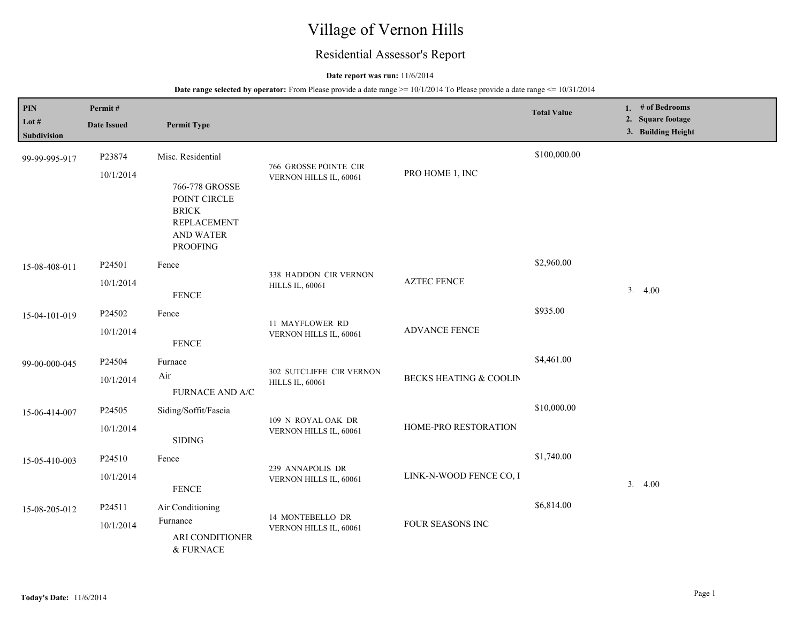# Village of Vernon Hills

## Residential Assessor's Report

### **Date report was run:** 11/6/2014

| $\mathbf{PIN}$<br>Lot #<br>Subdivision | Permit#<br><b>Date Issued</b> | <b>Permit Type</b>                                                                                                               |                                                    |                         | <b>Total Value</b> | 1. # of Bedrooms<br>2. Square footage<br>3. Building Height |
|----------------------------------------|-------------------------------|----------------------------------------------------------------------------------------------------------------------------------|----------------------------------------------------|-------------------------|--------------------|-------------------------------------------------------------|
| 99-99-995-917                          | P23874<br>10/1/2014           | Misc. Residential<br>766-778 GROSSE<br>POINT CIRCLE<br><b>BRICK</b><br><b>REPLACEMENT</b><br><b>AND WATER</b><br><b>PROOFING</b> | 766 GROSSE POINTE CIR<br>VERNON HILLS IL, 60061    | PRO HOME 1, INC         | \$100,000.00       |                                                             |
| 15-08-408-011                          | P24501<br>10/1/2014           | Fence<br><b>FENCE</b>                                                                                                            | 338 HADDON CIR VERNON<br><b>HILLS IL, 60061</b>    | <b>AZTEC FENCE</b>      | \$2,960.00         | 3.4.00                                                      |
| 15-04-101-019                          | P24502<br>10/1/2014           | Fence<br><b>FENCE</b>                                                                                                            | 11 MAYFLOWER RD<br>VERNON HILLS IL, 60061          | <b>ADVANCE FENCE</b>    | \$935.00           |                                                             |
| 99-00-000-045                          | P24504<br>10/1/2014           | Furnace<br>Air<br><b>FURNACE AND A/C</b>                                                                                         | 302 SUTCLIFFE CIR VERNON<br><b>HILLS IL, 60061</b> | BECKS HEATING & COOLIN  | \$4,461.00         |                                                             |
| 15-06-414-007                          | P24505<br>10/1/2014           | Siding/Soffit/Fascia<br><b>SIDING</b>                                                                                            | 109 N ROYAL OAK DR<br>VERNON HILLS IL, 60061       | HOME-PRO RESTORATION    | \$10,000.00        |                                                             |
| 15-05-410-003                          | P24510<br>10/1/2014           | Fence<br><b>FENCE</b>                                                                                                            | 239 ANNAPOLIS DR<br>VERNON HILLS IL, 60061         | LINK-N-WOOD FENCE CO, I | \$1,740.00         | 3.4.00                                                      |
| 15-08-205-012                          | P24511<br>10/1/2014           | Air Conditioning<br>Furnance<br>ARI CONDITIONER<br>& FURNACE                                                                     | 14 MONTEBELLO DR<br>VERNON HILLS IL, 60061         | FOUR SEASONS INC        | \$6,814.00         |                                                             |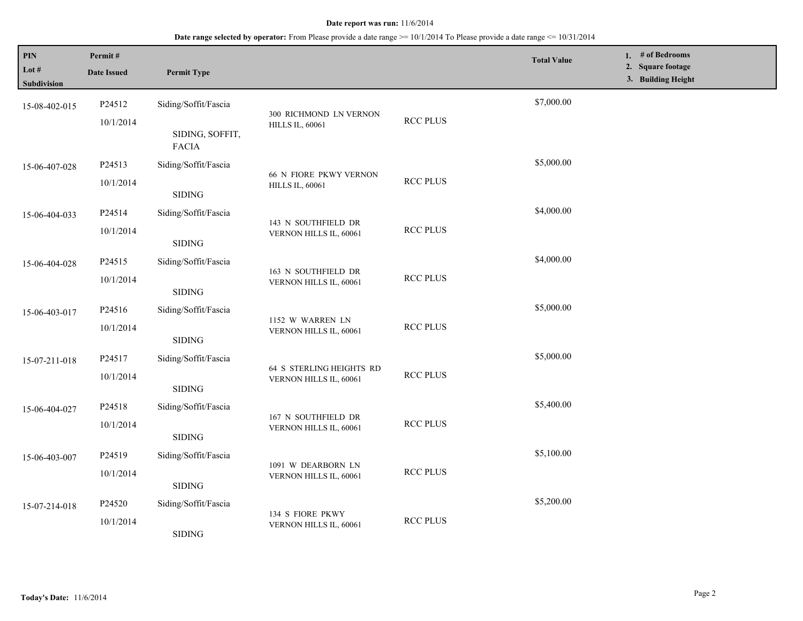### **Date range selected by operator:** From Please provide a date range >= 10/1/2014 To Please provide a date range <= 10/31/2014

| PIN<br>Lot #<br><b>Subdivision</b> | Permit#<br><b>Date Issued</b> | <b>Permit Type</b>                                      |                                                         |                 | <b>Total Value</b> | 1. # of Bedrooms<br>2. Square footage<br>3. Building Height |
|------------------------------------|-------------------------------|---------------------------------------------------------|---------------------------------------------------------|-----------------|--------------------|-------------------------------------------------------------|
| 15-08-402-015                      | P24512<br>10/1/2014           | Siding/Soffit/Fascia<br>SIDING, SOFFIT,<br><b>FACIA</b> | 300 RICHMOND LN VERNON<br><b>HILLS IL, 60061</b>        | <b>RCC PLUS</b> | \$7,000.00         |                                                             |
| 15-06-407-028                      | P24513<br>10/1/2014           | Siding/Soffit/Fascia<br><b>SIDING</b>                   | <b>66 N FIORE PKWY VERNON</b><br><b>HILLS IL, 60061</b> | <b>RCC PLUS</b> | \$5,000.00         |                                                             |
| 15-06-404-033                      | P24514<br>10/1/2014           | Siding/Soffit/Fascia<br>SIDING                          | 143 N SOUTHFIELD DR<br>VERNON HILLS IL, 60061           | <b>RCC PLUS</b> | \$4,000.00         |                                                             |
| 15-06-404-028                      | P24515<br>10/1/2014           | Siding/Soffit/Fascia<br><b>SIDING</b>                   | 163 N SOUTHFIELD DR<br>VERNON HILLS IL, 60061           | <b>RCC PLUS</b> | \$4,000.00         |                                                             |
| 15-06-403-017                      | P24516<br>10/1/2014           | Siding/Soffit/Fascia<br>$\operatorname{SIDING}$         | 1152 W WARREN LN<br>VERNON HILLS IL, 60061              | <b>RCC PLUS</b> | \$5,000.00         |                                                             |
| 15-07-211-018                      | P24517<br>10/1/2014           | Siding/Soffit/Fascia<br><b>SIDING</b>                   | 64 S STERLING HEIGHTS RD<br>VERNON HILLS IL, 60061      | <b>RCC PLUS</b> | \$5,000.00         |                                                             |
| 15-06-404-027                      | P24518<br>10/1/2014           | Siding/Soffit/Fascia<br><b>SIDING</b>                   | 167 N SOUTHFIELD DR<br>VERNON HILLS IL, 60061           | <b>RCC PLUS</b> | \$5,400.00         |                                                             |
| 15-06-403-007                      | P24519<br>10/1/2014           | Siding/Soffit/Fascia<br>SIDING                          | 1091 W DEARBORN LN<br>VERNON HILLS IL, 60061            | <b>RCC PLUS</b> | \$5,100.00         |                                                             |
| 15-07-214-018                      | P24520<br>10/1/2014           | Siding/Soffit/Fascia<br>$\operatorname{SIDING}$         | 134 S FIORE PKWY<br>VERNON HILLS IL, 60061              | <b>RCC PLUS</b> | \$5,200.00         |                                                             |

L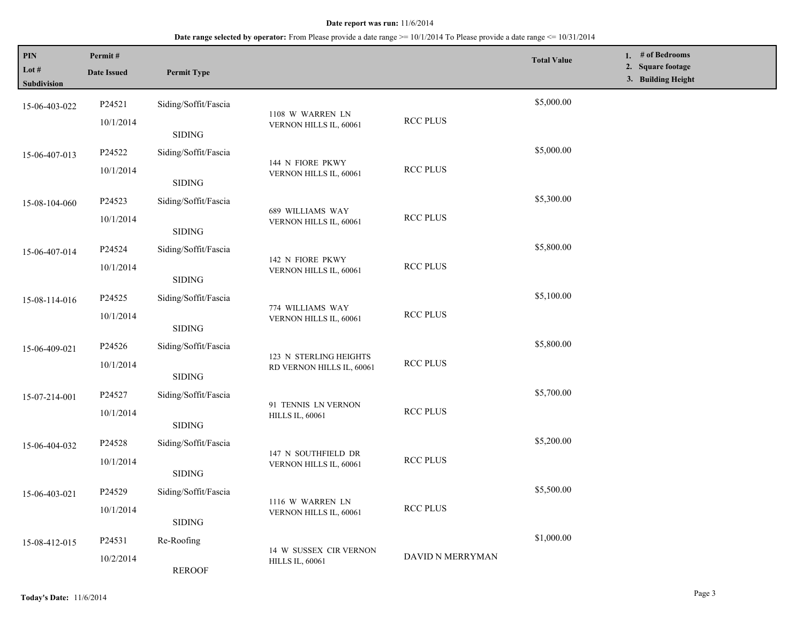| PIN<br>Lot #<br><b>Subdivision</b> | Permit#<br><b>Date Issued</b> | <b>Permit Type</b>   |                                            |                  | <b>Total Value</b> | 1. $#$ of Bedrooms<br>2. Square footage<br>3. Building Height |  |
|------------------------------------|-------------------------------|----------------------|--------------------------------------------|------------------|--------------------|---------------------------------------------------------------|--|
| 15-06-403-022                      | P24521<br>10/1/2014           | Siding/Soffit/Fascia | 1108 W WARREN LN<br>VERNON HILLS IL, 60061 | <b>RCC PLUS</b>  | \$5,000.00         |                                                               |  |
|                                    |                               | <b>SIDING</b>        |                                            |                  |                    |                                                               |  |
| 15-06-407-013                      | P24522                        | Siding/Soffit/Fascia | 144 N FIORE PKWY                           |                  | \$5,000.00         |                                                               |  |
|                                    | 10/1/2014                     | <b>SIDING</b>        | VERNON HILLS IL, 60061                     | <b>RCC PLUS</b>  |                    |                                                               |  |
| 15-08-104-060                      | P24523                        | Siding/Soffit/Fascia | 689 WILLIAMS WAY                           |                  | \$5,300.00         |                                                               |  |
| 10/1/2014                          |                               | <b>SIDING</b>        | VERNON HILLS IL, 60061                     | <b>RCC PLUS</b>  |                    |                                                               |  |
| 15-06-407-014                      | P24524                        | Siding/Soffit/Fascia | 142 N FIORE PKWY                           |                  | \$5,800.00         |                                                               |  |
|                                    | 10/1/2014                     | <b>SIDING</b>        | VERNON HILLS IL, 60061                     | <b>RCC PLUS</b>  |                    |                                                               |  |
| 15-08-114-016                      | P24525                        | Siding/Soffit/Fascia | 774 WILLIAMS WAY                           |                  | \$5,100.00         |                                                               |  |
|                                    | 10/1/2014                     | <b>SIDING</b>        | VERNON HILLS IL, 60061                     | <b>RCC PLUS</b>  |                    |                                                               |  |
| 15-06-409-021                      | P24526                        | Siding/Soffit/Fascia | 123 N STERLING HEIGHTS                     | \$5,800.00       |                    |                                                               |  |
|                                    | 10/1/2014                     | <b>SIDING</b>        | RD VERNON HILLS IL, 60061                  | <b>RCC PLUS</b>  |                    |                                                               |  |
| 15-07-214-001                      | P24527                        | Siding/Soffit/Fascia | 91 TENNIS LN VERNON                        |                  | \$5,700.00         |                                                               |  |
|                                    | 10/1/2014                     | <b>SIDING</b>        | <b>HILLS IL, 60061</b>                     | <b>RCC PLUS</b>  |                    |                                                               |  |
| 15-06-404-032                      | P24528                        | Siding/Soffit/Fascia | 147 N SOUTHFIELD DR                        |                  | \$5,200.00         |                                                               |  |
|                                    | 10/1/2014                     | <b>SIDING</b>        | VERNON HILLS IL, 60061                     | <b>RCC PLUS</b>  |                    |                                                               |  |
| 15-06-403-021                      | P24529                        | Siding/Soffit/Fascia | 1116 W WARREN LN                           |                  | \$5,500.00         |                                                               |  |
|                                    | 10/1/2014                     | <b>SIDING</b>        | VERNON HILLS IL, 60061                     | <b>RCC PLUS</b>  |                    |                                                               |  |
| 15-08-412-015                      | P24531                        | Re-Roofing           | 14 W SUSSEX CIR VERNON                     |                  | \$1,000.00         |                                                               |  |
|                                    | 10/2/2014                     | <b>REROOF</b>        | <b>HILLS IL, 60061</b>                     | DAVID N MERRYMAN |                    |                                                               |  |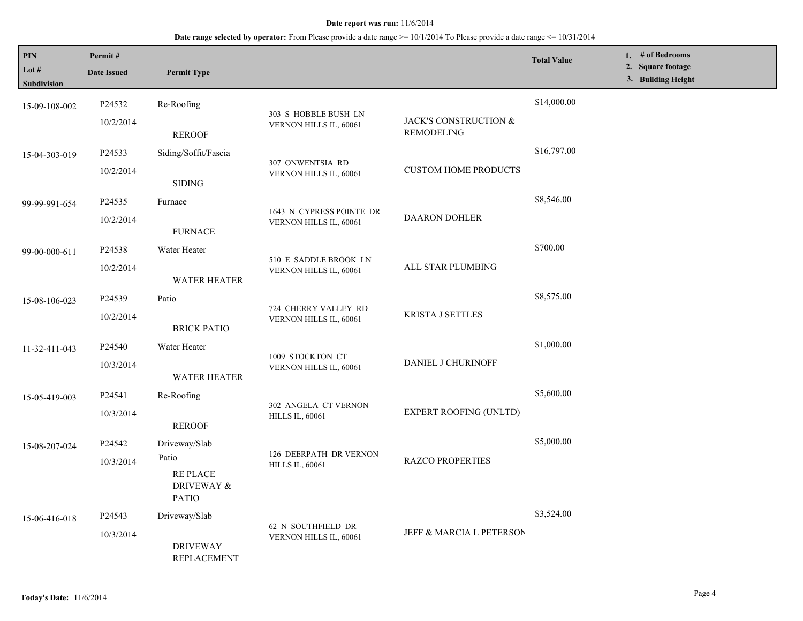| PIN<br>Lot #<br>Subdivision | Permit#<br><b>Date Issued</b> | <b>Permit Type</b>                                    |                                                    |                                            | <b>Total Value</b> | 1. # of Bedrooms<br>2. Square footage<br>3. Building Height |
|-----------------------------|-------------------------------|-------------------------------------------------------|----------------------------------------------------|--------------------------------------------|--------------------|-------------------------------------------------------------|
| 15-09-108-002               | P24532                        | Re-Roofing                                            |                                                    |                                            | \$14,000.00        |                                                             |
|                             | 10/2/2014                     | <b>REROOF</b>                                         | 303 S HOBBLE BUSH LN<br>VERNON HILLS IL, 60061     | JACK'S CONSTRUCTION &<br><b>REMODELING</b> |                    |                                                             |
| 15-04-303-019               | P24533                        | Siding/Soffit/Fascia                                  |                                                    |                                            | \$16,797.00        |                                                             |
|                             | 10/2/2014                     | <b>SIDING</b>                                         | 307 ONWENTSIA RD<br>VERNON HILLS IL, 60061         | <b>CUSTOM HOME PRODUCTS</b>                |                    |                                                             |
| 99-99-991-654               | P24535                        | Furnace                                               |                                                    |                                            | \$8,546.00         |                                                             |
|                             | 10/2/2014                     | <b>FURNACE</b>                                        | 1643 N CYPRESS POINTE DR<br>VERNON HILLS IL, 60061 | <b>DAARON DOHLER</b>                       |                    |                                                             |
| 99-00-000-611               | P24538                        | Water Heater                                          |                                                    |                                            | \$700.00           |                                                             |
|                             | 10/2/2014                     | WATER HEATER                                          | 510 E SADDLE BROOK LN<br>VERNON HILLS IL, 60061    | ALL STAR PLUMBING                          |                    |                                                             |
| 15-08-106-023               | P24539                        | Patio                                                 |                                                    |                                            | \$8,575.00         |                                                             |
|                             | 10/2/2014                     | <b>BRICK PATIO</b>                                    | 724 CHERRY VALLEY RD<br>VERNON HILLS IL, 60061     | <b>KRISTA J SETTLES</b>                    |                    |                                                             |
| 11-32-411-043               | P24540                        | Water Heater                                          |                                                    | <b>DANIEL J CHURINOFF</b>                  | \$1,000.00         |                                                             |
|                             | 10/3/2014                     | <b>WATER HEATER</b>                                   | 1009 STOCKTON CT<br>VERNON HILLS IL, 60061         |                                            |                    |                                                             |
| 15-05-419-003               | P24541                        | Re-Roofing                                            |                                                    |                                            | \$5,600.00         |                                                             |
|                             | 10/3/2014                     | <b>REROOF</b>                                         | 302 ANGELA CT VERNON<br><b>HILLS IL, 60061</b>     | <b>EXPERT ROOFING (UNLTD)</b>              |                    |                                                             |
| 15-08-207-024               | P24542                        | Driveway/Slab                                         |                                                    |                                            | \$5,000.00         |                                                             |
|                             | 10/3/2014                     | Patio<br><b>REPLACE</b><br>DRIVEWAY &<br><b>PATIO</b> | 126 DEERPATH DR VERNON<br><b>HILLS IL, 60061</b>   | <b>RAZCO PROPERTIES</b>                    |                    |                                                             |
| 15-06-416-018               | P <sub>24543</sub>            | Driveway/Slab                                         |                                                    |                                            | \$3,524.00         |                                                             |
|                             | 10/3/2014                     | <b>DRIVEWAY</b><br><b>REPLACEMENT</b>                 | 62 N SOUTHFIELD DR<br>VERNON HILLS IL, 60061       | JEFF & MARCIA L PETERSON                   |                    |                                                             |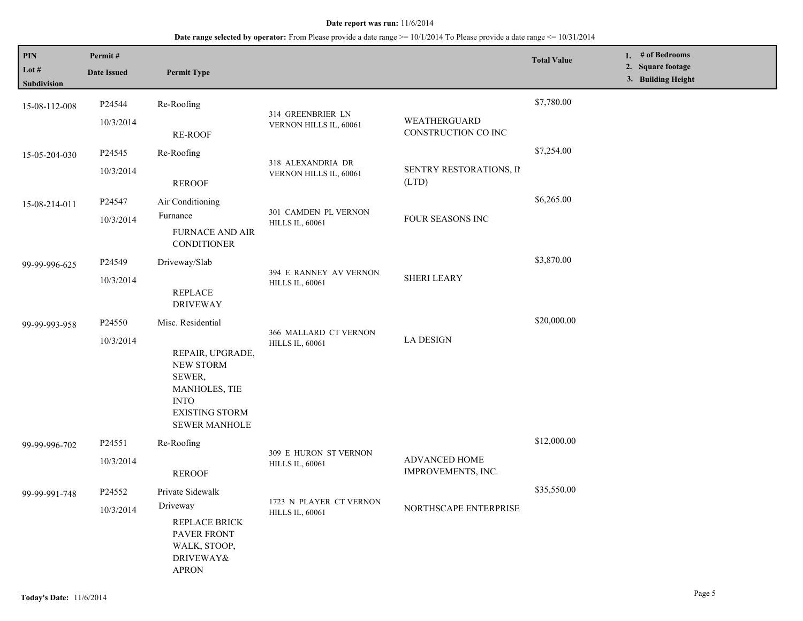| PIN                  | Permit#            |                                                                                                                                 |                                                   |                                     | <b>Total Value</b> | 1. # of Bedrooms<br>2. Square footage |
|----------------------|--------------------|---------------------------------------------------------------------------------------------------------------------------------|---------------------------------------------------|-------------------------------------|--------------------|---------------------------------------|
| Lot #<br>Subdivision | <b>Date Issued</b> | <b>Permit Type</b>                                                                                                              |                                                   |                                     |                    | 3. Building Height                    |
| 15-08-112-008        | P24544             | Re-Roofing                                                                                                                      |                                                   |                                     | \$7,780.00         |                                       |
|                      | 10/3/2014          | RE-ROOF                                                                                                                         | 314 GREENBRIER LN<br>VERNON HILLS IL, 60061       | WEATHERGUARD<br>CONSTRUCTION CO INC |                    |                                       |
| 15-05-204-030        | P24545             | Re-Roofing                                                                                                                      | 318 ALEXANDRIA DR                                 |                                     | \$7,254.00         |                                       |
|                      | 10/3/2014          | <b>REROOF</b>                                                                                                                   | VERNON HILLS IL, 60061                            | SENTRY RESTORATIONS, II<br>(LTD)    |                    |                                       |
| 15-08-214-011        | P24547             | Air Conditioning                                                                                                                | 301 CAMDEN PL VERNON                              |                                     | \$6,265.00         |                                       |
|                      | 10/3/2014          | Furnance<br><b>FURNACE AND AIR</b><br><b>CONDITIONER</b>                                                                        | <b>HILLS IL, 60061</b>                            | FOUR SEASONS INC                    |                    |                                       |
| 99-99-996-625        | P24549             | Driveway/Slab                                                                                                                   | 394 E RANNEY AV VERNON<br><b>HILLS IL, 60061</b>  |                                     | \$3,870.00         |                                       |
|                      | 10/3/2014          | <b>REPLACE</b><br><b>DRIVEWAY</b>                                                                                               |                                                   | <b>SHERI LEARY</b>                  |                    |                                       |
| 99-99-993-958        | P24550             | Misc. Residential                                                                                                               |                                                   |                                     | \$20,000.00        |                                       |
|                      | 10/3/2014          | REPAIR, UPGRADE,<br><b>NEW STORM</b><br>SEWER,<br>MANHOLES, TIE<br><b>INTO</b><br><b>EXISTING STORM</b><br><b>SEWER MANHOLE</b> | 366 MALLARD CT VERNON<br><b>HILLS IL, 60061</b>   | <b>LA DESIGN</b>                    |                    |                                       |
| 99-99-996-702        | P24551             | Re-Roofing                                                                                                                      |                                                   |                                     | \$12,000.00        |                                       |
|                      | 10/3/2014          | <b>REROOF</b>                                                                                                                   | 309 E HURON ST VERNON<br><b>HILLS IL, 60061</b>   | ADVANCED HOME<br>IMPROVEMENTS, INC. |                    |                                       |
| 99-99-991-748        | P24552             | Private Sidewalk                                                                                                                |                                                   |                                     | \$35,550.00        |                                       |
|                      | 10/3/2014          | Driveway<br>REPLACE BRICK<br><b>PAVER FRONT</b><br>WALK, STOOP,<br>DRIVEWAY&<br><b>APRON</b>                                    | 1723 N PLAYER CT VERNON<br><b>HILLS IL, 60061</b> | NORTHSCAPE ENTERPRISE               |                    |                                       |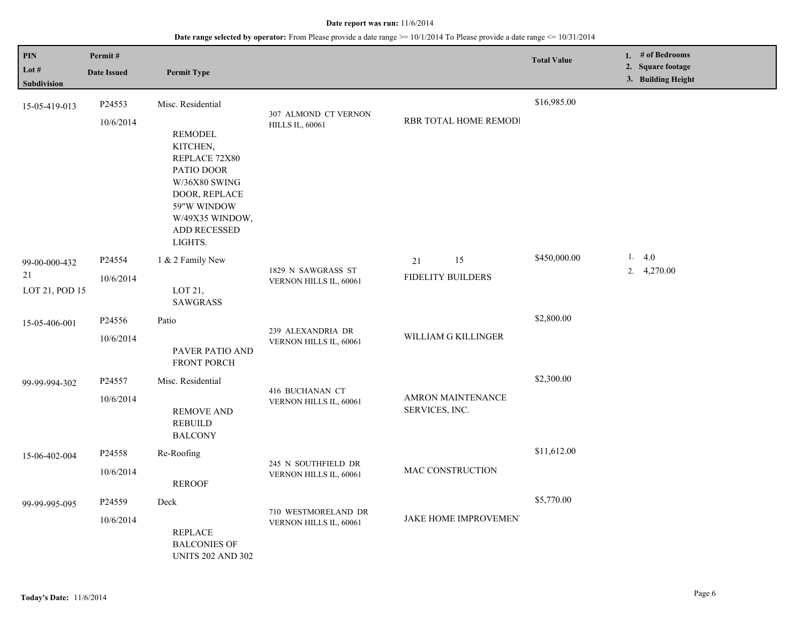| PIN<br>Lot $#$<br><b>Subdivision</b>  | Permit#<br><b>Date Issued</b>   | <b>Permit Type</b>                                                                                                                                                            |                                                |                                            | <b>Total Value</b> | 1. # of Bedrooms<br>2. Square footage<br>3. Building Height |
|---------------------------------------|---------------------------------|-------------------------------------------------------------------------------------------------------------------------------------------------------------------------------|------------------------------------------------|--------------------------------------------|--------------------|-------------------------------------------------------------|
| 15-05-419-013                         | P24553<br>10/6/2014             | Misc. Residential<br><b>REMODEL</b><br>KITCHEN,<br>REPLACE 72X80<br>PATIO DOOR<br>W/36X80 SWING<br>DOOR, REPLACE<br>59"W WINDOW<br>W/49X35 WINDOW,<br>ADD RECESSED<br>LIGHTS. | 307 ALMOND CT VERNON<br><b>HILLS IL, 60061</b> | RBR TOTAL HOME REMODI                      | \$16,985.00        |                                                             |
| 99-00-000-432<br>21<br>LOT 21, POD 15 | P24554<br>10/6/2014             | 1 & 2 Family New<br>LOT 21,<br><b>SAWGRASS</b>                                                                                                                                | 1829 N SAWGRASS ST<br>VERNON HILLS IL, 60061   | 15<br>21<br><b>FIDELITY BUILDERS</b>       | \$450,000.00       | 1.4.0<br>2. 4,270.00                                        |
| 15-05-406-001                         | P24556<br>10/6/2014             | Patio<br>PAVER PATIO AND<br>FRONT PORCH                                                                                                                                       | 239 ALEXANDRIA DR<br>VERNON HILLS IL, 60061    | WILLIAM G KILLINGER                        | \$2,800.00         |                                                             |
| 99-99-994-302                         | P24557<br>10/6/2014             | Misc. Residential<br><b>REMOVE AND</b><br><b>REBUILD</b><br><b>BALCONY</b>                                                                                                    | 416 BUCHANAN CT<br>VERNON HILLS IL, 60061      | <b>AMRON MAINTENANCE</b><br>SERVICES, INC. | \$2,300.00         |                                                             |
| 15-06-402-004                         | P24558<br>10/6/2014             | Re-Roofing<br><b>REROOF</b>                                                                                                                                                   | 245 N SOUTHFIELD DR<br>VERNON HILLS IL, 60061  | <b>MAC CONSTRUCTION</b>                    | \$11,612.00        |                                                             |
| 99-99-995-095                         | P <sub>24559</sub><br>10/6/2014 | Deck<br><b>REPLACE</b><br><b>BALCONIES OF</b><br><b>UNITS 202 AND 302</b>                                                                                                     | 710 WESTMORELAND DR<br>VERNON HILLS IL, 60061  | JAKE HOME IMPROVEMEN'                      | \$5,770.00         |                                                             |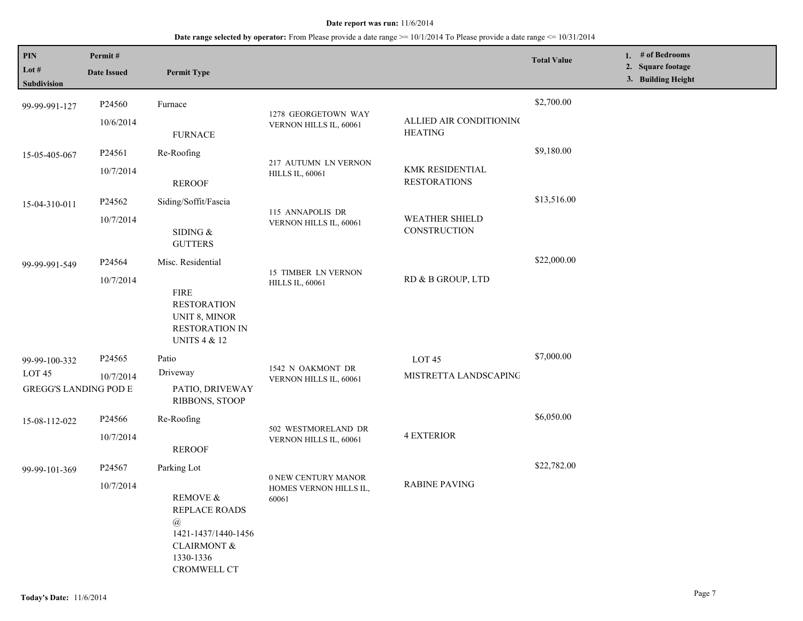| PIN<br>Lot #<br><b>Subdivision</b>                                 | Permit#<br><b>Date Issued</b>   | <b>Permit Type</b>                                                                                                                             |                                                        |                                            | <b>Total Value</b> | 1. # of Bedrooms<br>2. Square footage<br>3. Building Height |
|--------------------------------------------------------------------|---------------------------------|------------------------------------------------------------------------------------------------------------------------------------------------|--------------------------------------------------------|--------------------------------------------|--------------------|-------------------------------------------------------------|
| 99-99-991-127                                                      | P24560<br>10/6/2014             | Furnace<br><b>FURNACE</b>                                                                                                                      | 1278 GEORGETOWN WAY<br>VERNON HILLS IL, 60061          | ALLIED AIR CONDITIONING<br><b>HEATING</b>  | \$2,700.00         |                                                             |
| 15-05-405-067                                                      | P24561<br>10/7/2014             | Re-Roofing<br><b>REROOF</b>                                                                                                                    | 217 AUTUMN LN VERNON<br><b>HILLS IL, 60061</b>         | KMK RESIDENTIAL<br><b>RESTORATIONS</b>     | \$9,180.00         |                                                             |
| 15-04-310-011                                                      | P24562<br>10/7/2014             | Siding/Soffit/Fascia<br>SIDING $\&$<br><b>GUTTERS</b>                                                                                          | 115 ANNAPOLIS DR<br>VERNON HILLS IL, 60061             | <b>WEATHER SHIELD</b><br>CONSTRUCTION      | \$13,516.00        |                                                             |
| 99-99-991-549                                                      | P24564<br>10/7/2014             | Misc. Residential<br><b>FIRE</b><br><b>RESTORATION</b><br><b>UNIT 8, MINOR</b><br><b>RESTORATION IN</b><br><b>UNITS 4 &amp; 12</b>             | <b>15 TIMBER LN VERNON</b><br><b>HILLS IL, 60061</b>   | RD & B GROUP, LTD                          | \$22,000.00        |                                                             |
| 99-99-100-332<br>LOT <sub>45</sub><br><b>GREGG'S LANDING POD E</b> | P <sub>24565</sub><br>10/7/2014 | Patio<br>Driveway<br>PATIO, DRIVEWAY<br>RIBBONS, STOOP                                                                                         | 1542 N OAKMONT DR<br>VERNON HILLS IL, 60061            | LOT <sub>45</sub><br>MISTRETTA LANDSCAPING | \$7,000.00         |                                                             |
| 15-08-112-022                                                      | P24566<br>10/7/2014             | Re-Roofing<br><b>REROOF</b>                                                                                                                    | 502 WESTMORELAND DR<br>VERNON HILLS IL, 60061          | <b>4 EXTERIOR</b>                          | \$6,050.00         |                                                             |
| 99-99-101-369                                                      | P24567<br>10/7/2014             | Parking Lot<br><b>REMOVE &amp;</b><br>REPLACE ROADS<br>$\circleda$<br>1421-1437/1440-1456<br>CLAIRMONT $\&$<br>1330-1336<br><b>CROMWELL CT</b> | 0 NEW CENTURY MANOR<br>HOMES VERNON HILLS IL,<br>60061 | <b>RABINE PAVING</b>                       | \$22,782.00        |                                                             |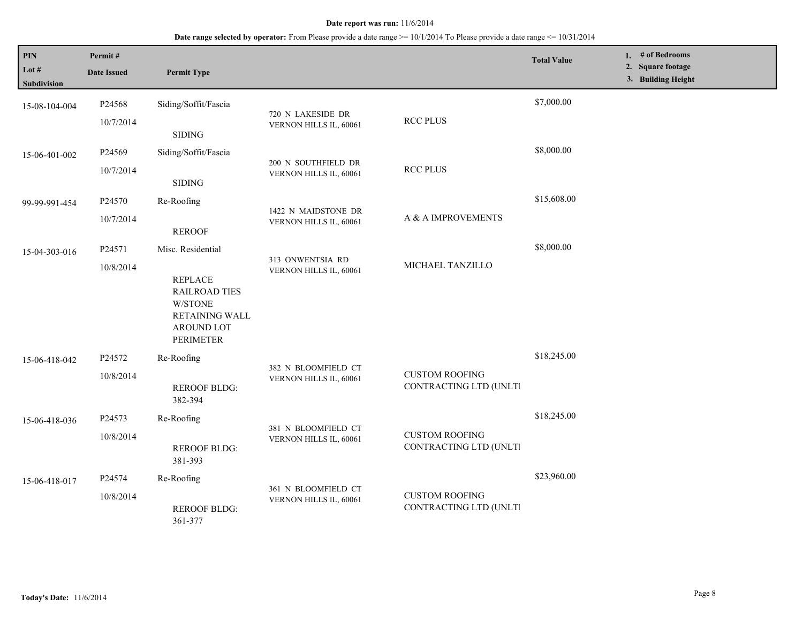| PIN<br>Lot $#$<br><b>Subdivision</b> | Permit#<br><b>Date Issued</b> | <b>Permit Type</b>                                                                                                                |                                               |                                                 | <b>Total Value</b> | 1. # of Bedrooms<br>2. Square footage<br>3. Building Height |  |
|--------------------------------------|-------------------------------|-----------------------------------------------------------------------------------------------------------------------------------|-----------------------------------------------|-------------------------------------------------|--------------------|-------------------------------------------------------------|--|
| 15-08-104-004                        | P24568<br>10/7/2014           | Siding/Soffit/Fascia<br><b>SIDING</b>                                                                                             | 720 N LAKESIDE DR<br>VERNON HILLS IL, 60061   | <b>RCC PLUS</b>                                 | \$7,000.00         |                                                             |  |
| 15-06-401-002                        | P24569<br>10/7/2014           | Siding/Soffit/Fascia<br><b>SIDING</b>                                                                                             | 200 N SOUTHFIELD DR<br>VERNON HILLS IL, 60061 | <b>RCC PLUS</b>                                 | \$8,000.00         |                                                             |  |
| 99-99-991-454                        | P24570<br>10/7/2014           | Re-Roofing<br><b>REROOF</b>                                                                                                       | 1422 N MAIDSTONE DR<br>VERNON HILLS IL, 60061 | A & A IMPROVEMENTS                              | \$15,608.00        |                                                             |  |
| 15-04-303-016                        | P24571<br>10/8/2014           | Misc. Residential<br><b>REPLACE</b><br><b>RAILROAD TIES</b><br>W/STONE<br>RETAINING WALL<br><b>AROUND LOT</b><br><b>PERIMETER</b> | 313 ONWENTSIA RD<br>VERNON HILLS IL, 60061    | MICHAEL TANZILLO                                | \$8,000.00         |                                                             |  |
| 15-06-418-042                        | P24572<br>10/8/2014           | Re-Roofing<br><b>REROOF BLDG:</b><br>382-394                                                                                      | 382 N BLOOMFIELD CT<br>VERNON HILLS IL, 60061 | <b>CUSTOM ROOFING</b><br>CONTRACTING LTD (UNLT) | \$18,245.00        |                                                             |  |
| 15-06-418-036                        | P24573<br>10/8/2014           | Re-Roofing<br><b>REROOF BLDG:</b><br>381-393                                                                                      | 381 N BLOOMFIELD CT<br>VERNON HILLS IL, 60061 | <b>CUSTOM ROOFING</b><br>CONTRACTING LTD (UNLT) | \$18,245.00        |                                                             |  |
| 15-06-418-017                        | P24574<br>10/8/2014           | Re-Roofing<br><b>REROOF BLDG:</b><br>361-377                                                                                      | 361 N BLOOMFIELD CT<br>VERNON HILLS IL, 60061 | <b>CUSTOM ROOFING</b><br>CONTRACTING LTD (UNLT) | \$23,960.00        |                                                             |  |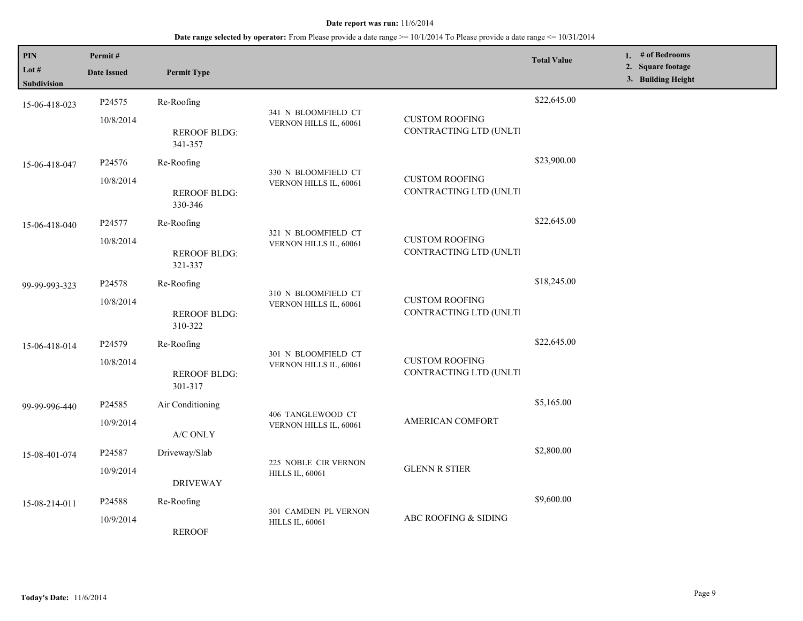| <b>PIN</b><br>Lot # | Permit#<br><b>Date Issued</b> | <b>Permit Type</b>             |                                                |                                                 | <b>Total Value</b> | 1. # of Bedrooms<br>2. Square footage<br>3. Building Height |
|---------------------|-------------------------------|--------------------------------|------------------------------------------------|-------------------------------------------------|--------------------|-------------------------------------------------------------|
| Subdivision         |                               |                                |                                                |                                                 |                    |                                                             |
| 15-06-418-023       | P24575                        | Re-Roofing                     |                                                |                                                 | \$22,645.00        |                                                             |
|                     | 10/8/2014                     |                                | 341 N BLOOMFIELD CT<br>VERNON HILLS IL, 60061  | <b>CUSTOM ROOFING</b>                           |                    |                                                             |
|                     |                               | <b>REROOF BLDG:</b>            |                                                | CONTRACTING LTD (UNLT)                          |                    |                                                             |
|                     |                               | 341-357                        |                                                |                                                 |                    |                                                             |
| 15-06-418-047       | P <sub>24576</sub>            | Re-Roofing                     |                                                |                                                 | \$23,900.00        |                                                             |
|                     | 10/8/2014                     |                                | 330 N BLOOMFIELD CT<br>VERNON HILLS IL, 60061  | <b>CUSTOM ROOFING</b>                           |                    |                                                             |
|                     |                               | <b>REROOF BLDG:</b>            |                                                | CONTRACTING LTD (UNLT)                          |                    |                                                             |
|                     |                               | 330-346                        |                                                |                                                 |                    |                                                             |
| 15-06-418-040       | P <sub>24577</sub>            | Re-Roofing                     | 321 N BLOOMFIELD CT                            |                                                 | \$22,645.00        |                                                             |
|                     | 10/8/2014                     |                                | VERNON HILLS IL, 60061                         | <b>CUSTOM ROOFING</b>                           |                    |                                                             |
|                     |                               | <b>REROOF BLDG:</b><br>321-337 |                                                | CONTRACTING LTD (UNLT)                          |                    |                                                             |
|                     |                               |                                |                                                |                                                 | \$18,245.00        |                                                             |
| 99-99-993-323       | P <sub>24578</sub>            | Re-Roofing                     | 310 N BLOOMFIELD CT                            |                                                 |                    |                                                             |
|                     | 10/8/2014                     | <b>REROOF BLDG:</b>            | VERNON HILLS IL, 60061                         | <b>CUSTOM ROOFING</b><br>CONTRACTING LTD (UNLT) |                    |                                                             |
|                     |                               | 310-322                        |                                                |                                                 |                    |                                                             |
| 15-06-418-014       | P24579                        | Re-Roofing                     |                                                |                                                 | \$22,645.00        |                                                             |
|                     | 10/8/2014                     |                                | 301 N BLOOMFIELD CT<br>VERNON HILLS IL, 60061  | <b>CUSTOM ROOFING</b>                           |                    |                                                             |
|                     |                               | <b>REROOF BLDG:</b>            |                                                | CONTRACTING LTD (UNLT)                          |                    |                                                             |
|                     |                               | 301-317                        |                                                |                                                 |                    |                                                             |
| 99-99-996-440       | P24585                        | Air Conditioning               |                                                |                                                 | \$5,165.00         |                                                             |
|                     | 10/9/2014                     |                                | 406 TANGLEWOOD CT<br>VERNON HILLS IL, 60061    | AMERICAN COMFORT                                |                    |                                                             |
|                     |                               | A/C ONLY                       |                                                |                                                 |                    |                                                             |
| 15-08-401-074       | P24587                        | Driveway/Slab                  |                                                |                                                 | \$2,800.00         |                                                             |
|                     | 10/9/2014                     |                                | 225 NOBLE CIR VERNON<br><b>HILLS IL, 60061</b> | <b>GLENN R STIER</b>                            |                    |                                                             |
|                     |                               | <b>DRIVEWAY</b>                |                                                |                                                 |                    |                                                             |
| 15-08-214-011       | P24588                        | Re-Roofing                     |                                                |                                                 | \$9,600.00         |                                                             |
|                     | 10/9/2014                     |                                | 301 CAMDEN PL VERNON<br><b>HILLS IL, 60061</b> | ABC ROOFING & SIDING                            |                    |                                                             |
|                     | <b>REROOF</b>                 |                                |                                                |                                                 |                    |                                                             |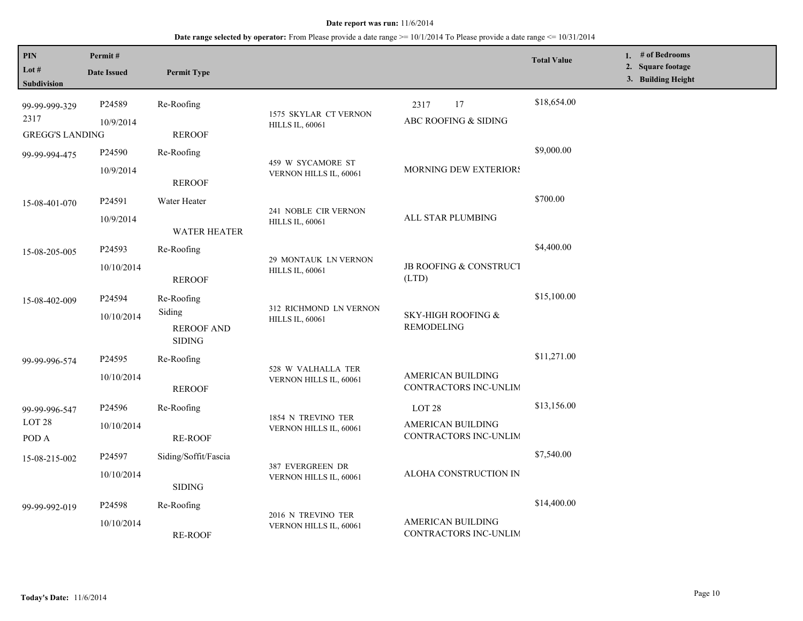**Date range selected by operator:** From Please provide a date range >= 10/1/2014 To Please provide a date range <= 10/31/2014

| PIN<br>Lot $#$<br><b>Subdivision</b>            | Permit#<br><b>Date Issued</b> | <b>Permit Type</b>                                         |                                                  |                                                                 | <b>Total Value</b> | 1. # of Bedrooms<br>2. Square footage<br>3. Building Height |
|-------------------------------------------------|-------------------------------|------------------------------------------------------------|--------------------------------------------------|-----------------------------------------------------------------|--------------------|-------------------------------------------------------------|
| 99-99-999-329<br>2317<br><b>GREGG'S LANDING</b> | P24589<br>10/9/2014           | Re-Roofing<br><b>REROOF</b>                                | 1575 SKYLAR CT VERNON<br><b>HILLS IL, 60061</b>  | 17<br>2317<br>ABC ROOFING & SIDING                              | \$18,654.00        |                                                             |
| 99-99-994-475                                   | P24590<br>10/9/2014           | Re-Roofing<br><b>REROOF</b>                                | 459 W SYCAMORE ST<br>VERNON HILLS IL, 60061      | MORNING DEW EXTERIORS                                           | \$9,000.00         |                                                             |
| 15-08-401-070                                   | P24591<br>10/9/2014           | Water Heater<br><b>WATER HEATER</b>                        | 241 NOBLE CIR VERNON<br><b>HILLS IL, 60061</b>   | ALL STAR PLUMBING                                               | \$700.00           |                                                             |
| 15-08-205-005                                   | P24593<br>10/10/2014          | Re-Roofing<br><b>REROOF</b>                                | 29 MONTAUK LN VERNON<br><b>HILLS IL, 60061</b>   | JB ROOFING & CONSTRUCT<br>(LTD)                                 | \$4,400.00         |                                                             |
| 15-08-402-009                                   | P24594<br>10/10/2014          | Re-Roofing<br>Siding<br><b>REROOF AND</b><br><b>SIDING</b> | 312 RICHMOND LN VERNON<br><b>HILLS IL, 60061</b> | SKY-HIGH ROOFING &<br><b>REMODELING</b>                         | \$15,100.00        |                                                             |
| 99-99-996-574                                   | P24595<br>10/10/2014          | Re-Roofing<br><b>REROOF</b>                                | 528 W VALHALLA TER<br>VERNON HILLS IL, 60061     | <b>AMERICAN BUILDING</b><br>CONTRACTORS INC-UNLIM               | \$11,271.00        |                                                             |
| 99-99-996-547<br>LOT <sub>28</sub><br>POD A     | P24596<br>10/10/2014          | Re-Roofing<br><b>RE-ROOF</b>                               | 1854 N TREVINO TER<br>VERNON HILLS IL, 60061     | LOT <sub>28</sub><br>AMERICAN BUILDING<br>CONTRACTORS INC-UNLIM | \$13,156.00        |                                                             |
| 15-08-215-002                                   | P24597<br>10/10/2014          | Siding/Soffit/Fascia<br><b>SIDING</b>                      | 387 EVERGREEN DR<br>VERNON HILLS IL, 60061       | ALOHA CONSTRUCTION IN                                           | \$7,540.00         |                                                             |
| 99-99-992-019                                   | P24598<br>10/10/2014          | Re-Roofing<br><b>RE-ROOF</b>                               | 2016 N TREVINO TER<br>VERNON HILLS IL, 60061     | AMERICAN BUILDING<br>CONTRACTORS INC-UNLIM                      | \$14,400.00        |                                                             |

L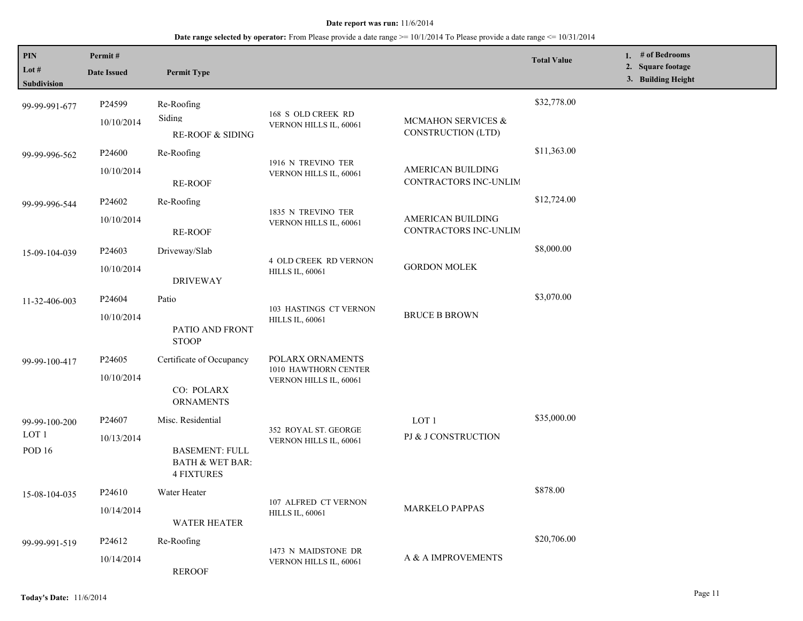| PIN<br>Lot #<br>Subdivision        | Permit#<br><b>Date Issued</b>    | <b>Permit Type</b>                                                                            |                                                                    |                                            | <b>Total Value</b> | 1. # of Bedrooms<br>2. Square footage<br>3. Building Height |
|------------------------------------|----------------------------------|-----------------------------------------------------------------------------------------------|--------------------------------------------------------------------|--------------------------------------------|--------------------|-------------------------------------------------------------|
| 99-99-991-677                      | P24599<br>10/10/2014             | Re-Roofing<br>Siding<br><b>RE-ROOF &amp; SIDING</b>                                           | 168 S OLD CREEK RD<br>VERNON HILLS IL, 60061                       | MCMAHON SERVICES &<br>CONSTRUCTION (LTD)   | \$32,778.00        |                                                             |
| 99-99-996-562                      | P24600<br>10/10/2014             | Re-Roofing<br><b>RE-ROOF</b>                                                                  | 1916 N TREVINO TER<br>VERNON HILLS IL, 60061                       | AMERICAN BUILDING<br>CONTRACTORS INC-UNLIM | \$11,363.00        |                                                             |
| 99-99-996-544                      | P24602<br>10/10/2014             | Re-Roofing<br><b>RE-ROOF</b>                                                                  | 1835 N TREVINO TER<br>VERNON HILLS IL, 60061                       | AMERICAN BUILDING<br>CONTRACTORS INC-UNLIM | \$12,724.00        |                                                             |
| 15-09-104-039                      | P24603<br>10/10/2014             | Driveway/Slab<br><b>DRIVEWAY</b>                                                              | <b>4 OLD CREEK RD VERNON</b><br><b>HILLS IL, 60061</b>             | <b>GORDON MOLEK</b>                        | \$8,000.00         |                                                             |
| 11-32-406-003                      | P24604<br>10/10/2014             | Patio<br>PATIO AND FRONT<br><b>STOOP</b>                                                      | 103 HASTINGS CT VERNON<br><b>HILLS IL, 60061</b>                   | <b>BRUCE B BROWN</b>                       | \$3,070.00         |                                                             |
| 99-99-100-417                      | P <sub>24605</sub><br>10/10/2014 | Certificate of Occupancy<br>CO: POLARX<br><b>ORNAMENTS</b>                                    | POLARX ORNAMENTS<br>1010 HAWTHORN CENTER<br>VERNON HILLS IL, 60061 |                                            |                    |                                                             |
| 99-99-100-200<br>LOT 1<br>POD $16$ | P24607<br>10/13/2014             | Misc. Residential<br><b>BASEMENT: FULL</b><br><b>BATH &amp; WET BAR:</b><br><b>4 FIXTURES</b> | 352 ROYAL ST. GEORGE<br>VERNON HILLS IL, 60061                     | LOT <sub>1</sub><br>PJ & J CONSTRUCTION    | \$35,000.00        |                                                             |
| 15-08-104-035                      | P24610<br>10/14/2014             | Water Heater<br><b>WATER HEATER</b>                                                           | 107 ALFRED CT VERNON<br><b>HILLS IL, 60061</b>                     | <b>MARKELO PAPPAS</b>                      | \$878.00           |                                                             |
| 99-99-991-519                      | P24612<br>10/14/2014             | Re-Roofing<br><b>REROOF</b>                                                                   | 1473 N MAIDSTONE DR<br>VERNON HILLS IL, 60061                      | A & A IMPROVEMENTS                         | \$20,706.00        |                                                             |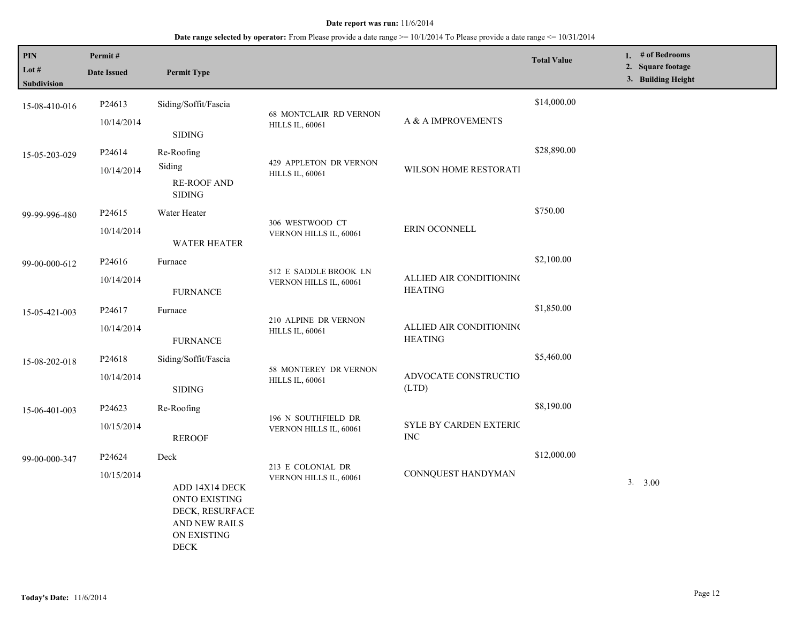| PIN<br>Lot $#$ | Permit#<br><b>Date Issued</b> | <b>Permit Type</b>                                                                                       |                                                |                                             | <b>Total Value</b> | 1. # of Bedrooms<br>2. Square footage |
|----------------|-------------------------------|----------------------------------------------------------------------------------------------------------|------------------------------------------------|---------------------------------------------|--------------------|---------------------------------------|
| Subdivision    |                               |                                                                                                          |                                                |                                             |                    | 3. Building Height                    |
| 15-08-410-016  | P <sub>24613</sub>            | Siding/Soffit/Fascia                                                                                     | 68 MONTCLAIR RD VERNON                         |                                             | \$14,000.00        |                                       |
|                | 10/14/2014                    | <b>SIDING</b>                                                                                            | <b>HILLS IL, 60061</b>                         | A & A IMPROVEMENTS                          |                    |                                       |
| 15-05-203-029  | P24614                        | Re-Roofing<br>Siding                                                                                     | 429 APPLETON DR VERNON                         |                                             | \$28,890.00        |                                       |
|                | 10/14/2014                    | <b>RE-ROOF AND</b><br><b>SIDING</b>                                                                      | <b>HILLS IL, 60061</b>                         | WILSON HOME RESTORATI                       |                    |                                       |
| 99-99-996-480  | P <sub>24615</sub>            | Water Heater                                                                                             |                                                |                                             | \$750.00           |                                       |
|                | 10/14/2014                    | <b>WATER HEATER</b>                                                                                      | 306 WESTWOOD CT<br>VERNON HILLS IL, 60061      | ERIN OCONNELL                               |                    |                                       |
| 99-00-000-612  | P24616                        | Furnace                                                                                                  | 512 E SADDLE BROOK LN                          |                                             | \$2,100.00         |                                       |
|                | 10/14/2014                    | <b>FURNANCE</b>                                                                                          | VERNON HILLS IL, 60061                         | ALLIED AIR CONDITIONING<br><b>HEATING</b>   |                    |                                       |
| 15-05-421-003  | P24617                        | Furnace                                                                                                  | 210 ALPINE DR VERNON<br><b>HILLS IL, 60061</b> |                                             | \$1,850.00         |                                       |
|                | 10/14/2014                    | <b>FURNANCE</b>                                                                                          |                                                | ALLIED AIR CONDITIONING<br><b>HEATING</b>   |                    |                                       |
| 15-08-202-018  | P24618                        | Siding/Soffit/Fascia                                                                                     | 58 MONTEREY DR VERNON                          |                                             | \$5,460.00         |                                       |
|                | 10/14/2014                    | <b>SIDING</b>                                                                                            | <b>HILLS IL, 60061</b>                         | ADVOCATE CONSTRUCTIO<br>(LTD)               |                    |                                       |
| 15-06-401-003  | P24623                        | Re-Roofing                                                                                               | 196 N SOUTHFIELD DR                            |                                             | \$8,190.00         |                                       |
|                | 10/15/2014                    | <b>REROOF</b>                                                                                            | VERNON HILLS IL, 60061                         | <b>SYLE BY CARDEN EXTERIC</b><br>$\rm{INC}$ |                    |                                       |
| 99-00-000-347  | P24624                        | Deck                                                                                                     | 213 E COLONIAL DR                              |                                             | \$12,000.00        |                                       |
|                | 10/15/2014                    | ADD 14X14 DECK<br>ONTO EXISTING<br>DECK, RESURFACE<br>AND NEW RAILS<br><b>ON EXISTING</b><br><b>DECK</b> | VERNON HILLS IL, 60061                         | CONNQUEST HANDYMAN                          |                    | 3. 3.00                               |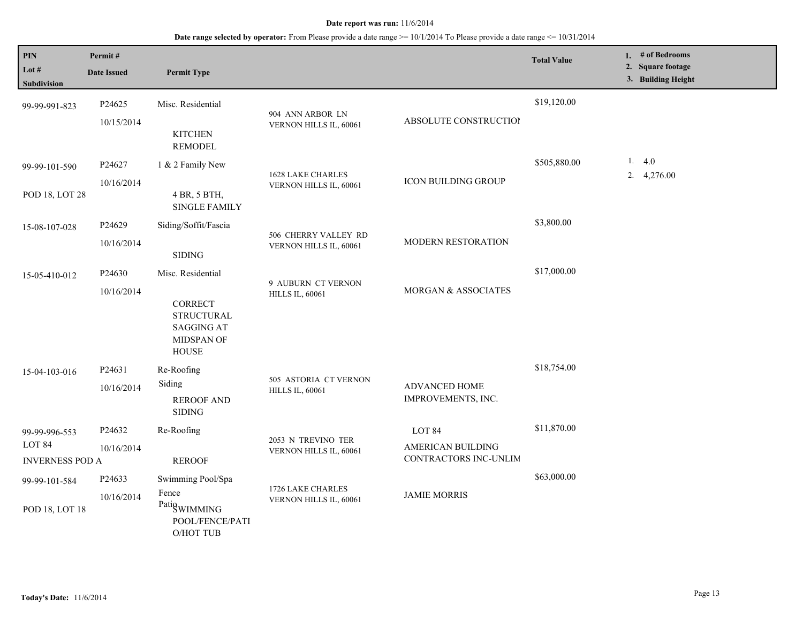| PIN<br>Lot #<br>Subdivision                                  | Permit#<br><b>Date Issued</b> | <b>Permit Type</b>                                                                                          |                                                    |                                                             | <b>Total Value</b> | 1. # of Bedrooms<br>2. Square footage<br>3. Building Height |
|--------------------------------------------------------------|-------------------------------|-------------------------------------------------------------------------------------------------------------|----------------------------------------------------|-------------------------------------------------------------|--------------------|-------------------------------------------------------------|
| 99-99-991-823                                                | P24625<br>10/15/2014          | Misc. Residential<br><b>KITCHEN</b><br><b>REMODEL</b>                                                       | 904 ANN ARBOR LN<br>VERNON HILLS IL, 60061         | ABSOLUTE CONSTRUCTION                                       | \$19,120.00        |                                                             |
| 99-99-101-590<br>POD 18, LOT 28                              | P24627<br>10/16/2014          | 1 & 2 Family New<br>4 BR, 5 BTH,<br><b>SINGLE FAMILY</b>                                                    | <b>1628 LAKE CHARLES</b><br>VERNON HILLS IL, 60061 | <b>ICON BUILDING GROUP</b>                                  | \$505,880.00       | 1. $4.0$<br>2. 4,276.00                                     |
| 15-08-107-028                                                | P24629<br>10/16/2014          | Siding/Soffit/Fascia<br><b>SIDING</b>                                                                       | 506 CHERRY VALLEY RD<br>VERNON HILLS IL, 60061     | MODERN RESTORATION                                          | \$3,800.00         |                                                             |
| 15-05-410-012                                                | P24630<br>10/16/2014          | Misc. Residential<br><b>CORRECT</b><br><b>STRUCTURAL</b><br><b>SAGGING AT</b><br>MIDSPAN OF<br><b>HOUSE</b> | 9 AUBURN CT VERNON<br><b>HILLS IL, 60061</b>       | MORGAN & ASSOCIATES                                         | \$17,000.00        |                                                             |
| 15-04-103-016                                                | P24631<br>10/16/2014          | Re-Roofing<br>Siding<br><b>REROOF AND</b><br><b>SIDING</b>                                                  | 505 ASTORIA CT VERNON<br><b>HILLS IL, 60061</b>    | ADVANCED HOME<br>IMPROVEMENTS, INC.                         | \$18,754.00        |                                                             |
| 99-99-996-553<br>LOT <sub>84</sub><br><b>INVERNESS POD A</b> | P24632<br>10/16/2014          | Re-Roofing<br><b>REROOF</b>                                                                                 | 2053 N TREVINO TER<br>VERNON HILLS IL, 60061       | LOT 84<br><b>AMERICAN BUILDING</b><br>CONTRACTORS INC-UNLIM | \$11,870.00        |                                                             |
| 99-99-101-584<br>POD 18, LOT 18                              | P24633<br>10/16/2014          | Swimming Pool/Spa<br>Fence<br>PatigwIMMING<br>POOL/FENCE/PATI<br><b>O/HOT TUB</b>                           | 1726 LAKE CHARLES<br>VERNON HILLS IL, 60061        | <b>JAMIE MORRIS</b>                                         | \$63,000.00        |                                                             |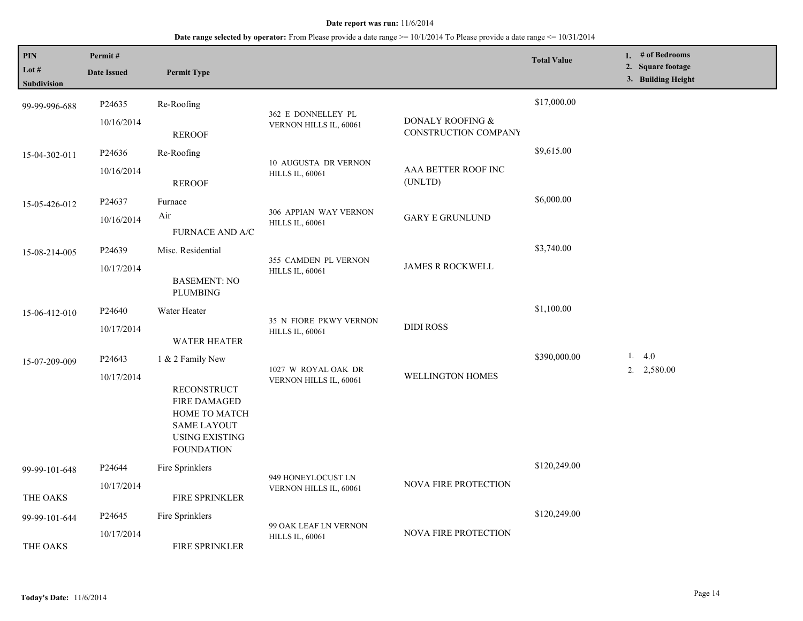| PIN<br>Lot #<br>Subdivision | Permit#<br><b>Date Issued</b>    | <b>Permit Type</b>                                                                                                                                 |                                                         |                                          | <b>Total Value</b> | 1. $#$ of Bedrooms<br>2. Square footage<br>3. Building Height |
|-----------------------------|----------------------------------|----------------------------------------------------------------------------------------------------------------------------------------------------|---------------------------------------------------------|------------------------------------------|--------------------|---------------------------------------------------------------|
| 99-99-996-688               | P24635<br>10/16/2014             | Re-Roofing<br><b>REROOF</b>                                                                                                                        | 362 E DONNELLEY PL<br>VERNON HILLS IL, 60061            | DONALY ROOFING &<br>CONSTRUCTION COMPANY | \$17,000.00        |                                                               |
| 15-04-302-011               | P <sub>24636</sub><br>10/16/2014 | Re-Roofing<br><b>REROOF</b>                                                                                                                        | <b>10 AUGUSTA DR VERNON</b><br><b>HILLS IL, 60061</b>   | AAA BETTER ROOF INC<br>(UNLTD)           | \$9,615.00         |                                                               |
| 15-05-426-012               | P24637<br>10/16/2014             | Furnace<br>Air<br><b>FURNACE AND A/C</b>                                                                                                           | 306 APPIAN WAY VERNON<br><b>HILLS IL, 60061</b>         | <b>GARY E GRUNLUND</b>                   | \$6,000.00         |                                                               |
| 15-08-214-005               | P24639<br>10/17/2014             | Misc. Residential<br><b>BASEMENT: NO</b><br><b>PLUMBING</b>                                                                                        | 355 CAMDEN PL VERNON<br><b>HILLS IL, 60061</b>          | <b>JAMES R ROCKWELL</b>                  | \$3,740.00         |                                                               |
| 15-06-412-010               | P <sub>24640</sub><br>10/17/2014 | Water Heater<br>WATER HEATER                                                                                                                       | <b>35 N FIORE PKWY VERNON</b><br><b>HILLS IL, 60061</b> | <b>DIDI ROSS</b>                         | \$1,100.00         |                                                               |
| 15-07-209-009               | P <sub>24643</sub><br>10/17/2014 | 1 & 2 Family New<br><b>RECONSTRUCT</b><br><b>FIRE DAMAGED</b><br>HOME TO MATCH<br><b>SAME LAYOUT</b><br><b>USING EXISTING</b><br><b>FOUNDATION</b> | 1027 W ROYAL OAK DR<br>VERNON HILLS IL, 60061           | WELLINGTON HOMES                         | \$390,000.00       | 1.4.0<br>$2. \quad 2,580.00$                                  |
| 99-99-101-648<br>THE OAKS   | P24644<br>10/17/2014             | Fire Sprinklers<br><b>FIRE SPRINKLER</b>                                                                                                           | 949 HONEYLOCUST LN<br>VERNON HILLS IL, 60061            | NOVA FIRE PROTECTION                     | \$120,249.00       |                                                               |
| 99-99-101-644<br>THE OAKS   | P24645<br>10/17/2014             | Fire Sprinklers<br>FIRE SPRINKLER                                                                                                                  | 99 OAK LEAF LN VERNON<br><b>HILLS IL, 60061</b>         | NOVA FIRE PROTECTION                     | \$120,249.00       |                                                               |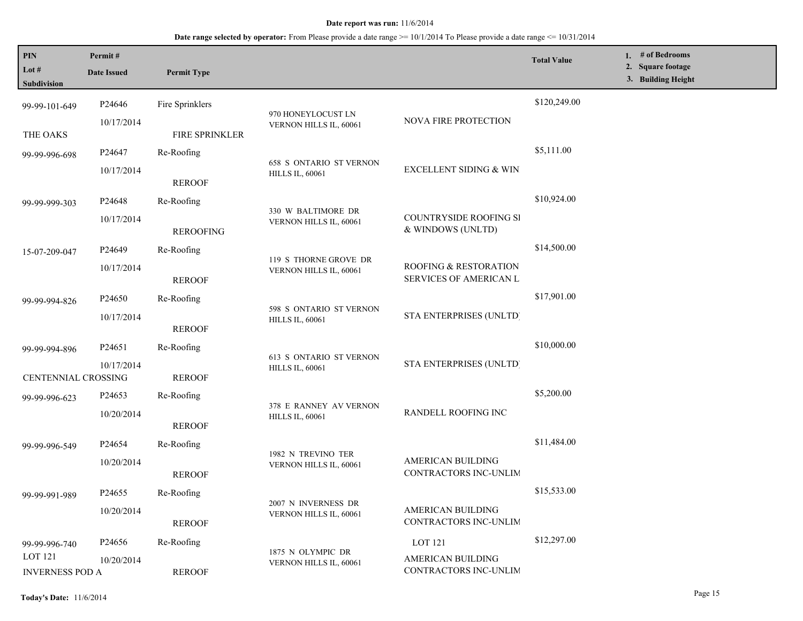**Date range selected by operator:** From Please provide a date range >= 10/1/2014 To Please provide a date range <= 10/31/2014

| PIN<br>Lot #<br><b>Subdivision</b>       | Permit#<br><b>Date Issued</b> | <b>Permit Type</b>                              |                                                          |                                             | <b>Total Value</b> | 1. # of Bedrooms<br>2. Square footage<br>3. Building Height |
|------------------------------------------|-------------------------------|-------------------------------------------------|----------------------------------------------------------|---------------------------------------------|--------------------|-------------------------------------------------------------|
| 99-99-101-649                            | P24646                        | Fire Sprinklers                                 |                                                          |                                             | \$120,249.00       |                                                             |
| THE OAKS                                 | 10/17/2014                    | FIRE SPRINKLER                                  | 970 HONEYLOCUST LN<br>VERNON HILLS IL, 60061             | NOVA FIRE PROTECTION                        |                    |                                                             |
| 99-99-996-698                            | P24647                        | Re-Roofing                                      |                                                          |                                             | \$5,111.00         |                                                             |
|                                          | 10/17/2014                    | <b>REROOF</b>                                   | <b>658 S ONTARIO ST VERNON</b><br><b>HILLS IL, 60061</b> | <b>EXCELLENT SIDING &amp; WIN</b>           |                    |                                                             |
| 99-99-999-303                            | P <sub>24648</sub>            | Re-Roofing                                      |                                                          |                                             | \$10,924.00        |                                                             |
|                                          | 10/17/2014                    | <b>REROOFING</b>                                | 330 W BALTIMORE DR<br>VERNON HILLS IL, 60061             | COUNTRYSIDE ROOFING SI<br>& WINDOWS (UNLTD) |                    |                                                             |
| 15-07-209-047                            | P24649                        | Re-Roofing                                      |                                                          |                                             | \$14,500.00        |                                                             |
| 10/17/2014                               | <b>REROOF</b>                 | 119 S THORNE GROVE DR<br>VERNON HILLS IL, 60061 | ROOFING & RESTORATION<br>SERVICES OF AMERICAN L          |                                             |                    |                                                             |
| 99-99-994-826                            | P <sub>24650</sub>            | Re-Roofing                                      |                                                          |                                             | \$17,901.00        |                                                             |
|                                          | 10/17/2014                    | <b>REROOF</b>                                   | 598 S ONTARIO ST VERNON<br><b>HILLS IL, 60061</b>        | STA ENTERPRISES (UNLTD)                     |                    |                                                             |
| 99-99-994-896                            | P24651                        | Re-Roofing                                      |                                                          |                                             | \$10,000.00        |                                                             |
| CENTENNIAL CROSSING                      | 10/17/2014                    | <b>REROOF</b>                                   | 613 S ONTARIO ST VERNON<br><b>HILLS IL, 60061</b>        | STA ENTERPRISES (UNLTD)                     |                    |                                                             |
| 99-99-996-623                            | P <sub>24653</sub>            | Re-Roofing                                      |                                                          |                                             | \$5,200.00         |                                                             |
|                                          | 10/20/2014                    | <b>REROOF</b>                                   | 378 E RANNEY AV VERNON<br><b>HILLS IL, 60061</b>         | RANDELL ROOFING INC                         |                    |                                                             |
| 99-99-996-549                            | P <sub>24654</sub>            | Re-Roofing                                      |                                                          |                                             | \$11,484.00        |                                                             |
|                                          | 10/20/2014                    | <b>REROOF</b>                                   | 1982 N TREVINO TER<br>VERNON HILLS IL, 60061             | AMERICAN BUILDING<br>CONTRACTORS INC-UNLIM  |                    |                                                             |
| 99-99-991-989                            | P <sub>24655</sub>            | Re-Roofing                                      |                                                          |                                             | \$15,533.00        |                                                             |
|                                          | 10/20/2014                    | <b>REROOF</b>                                   | 2007 N INVERNESS DR<br>VERNON HILLS IL, 60061            | AMERICAN BUILDING<br>CONTRACTORS INC-UNLIM  |                    |                                                             |
| 99-99-996-740                            | P24656                        | Re-Roofing                                      |                                                          | LOT 121                                     | \$12,297.00        |                                                             |
| <b>LOT 121</b><br><b>INVERNESS POD A</b> | 10/20/2014                    | <b>REROOF</b>                                   | 1875 N OLYMPIC DR<br>VERNON HILLS IL, 60061              | AMERICAN BUILDING<br>CONTRACTORS INC-UNLIM  |                    |                                                             |

L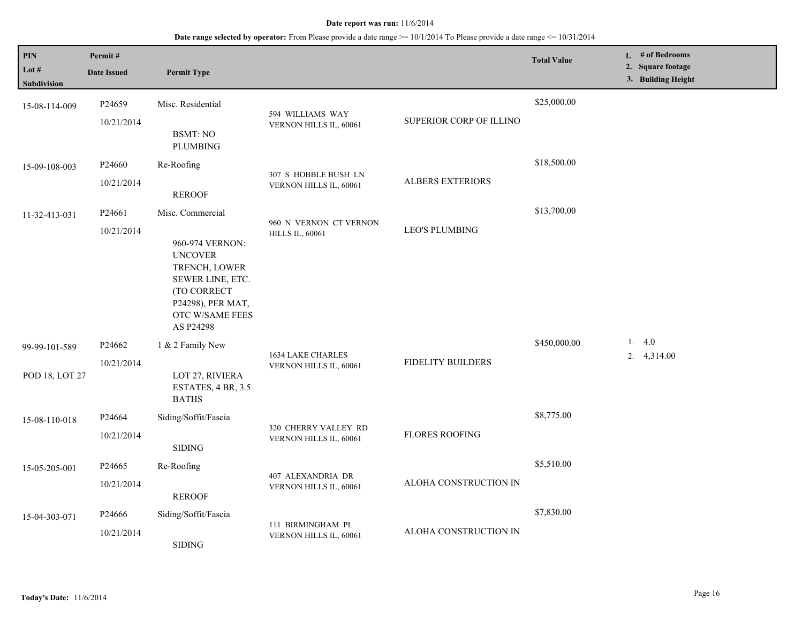| <b>PIN</b><br>Lot $#$<br><b>Subdivision</b> | Permit#<br><b>Date Issued</b>    | <b>Permit Type</b>                                                                                                                                             |                                                    |                          | <b>Total Value</b> | 1. # of Bedrooms<br>2. Square footage<br>3. Building Height |
|---------------------------------------------|----------------------------------|----------------------------------------------------------------------------------------------------------------------------------------------------------------|----------------------------------------------------|--------------------------|--------------------|-------------------------------------------------------------|
| 15-08-114-009                               | P24659<br>10/21/2014             | Misc. Residential<br><b>BSMT: NO</b><br><b>PLUMBING</b>                                                                                                        | 594 WILLIAMS WAY<br>VERNON HILLS IL, 60061         | SUPERIOR CORP OF ILLINO  | \$25,000.00        |                                                             |
| 15-09-108-003                               | P24660<br>10/21/2014             | Re-Roofing<br><b>REROOF</b>                                                                                                                                    | 307 S HOBBLE BUSH LN<br>VERNON HILLS IL, 60061     | <b>ALBERS EXTERIORS</b>  | \$18,500.00        |                                                             |
| 11-32-413-031                               | P24661<br>10/21/2014             | Misc. Commercial<br>960-974 VERNON:<br><b>UNCOVER</b><br>TRENCH, LOWER<br>SEWER LINE, ETC.<br>(TO CORRECT<br>P24298), PER MAT,<br>OTC W/SAME FEES<br>AS P24298 | 960 N VERNON CT VERNON<br><b>HILLS IL, 60061</b>   | <b>LEO'S PLUMBING</b>    | \$13,700.00        |                                                             |
| 99-99-101-589<br>POD 18, LOT 27             | P <sub>24662</sub><br>10/21/2014 | 1 & 2 Family New<br>LOT 27, RIVIERA<br>ESTATES, 4 BR, 3.5<br><b>BATHS</b>                                                                                      | <b>1634 LAKE CHARLES</b><br>VERNON HILLS IL, 60061 | <b>FIDELITY BUILDERS</b> | \$450,000.00       | 1.4.0<br>4,314.00<br>2.                                     |
| 15-08-110-018                               | P24664<br>10/21/2014             | Siding/Soffit/Fascia<br><b>SIDING</b>                                                                                                                          | 320 CHERRY VALLEY RD<br>VERNON HILLS IL, 60061     | <b>FLORES ROOFING</b>    | \$8,775.00         |                                                             |
| 15-05-205-001                               | P24665<br>10/21/2014             | Re-Roofing<br><b>REROOF</b>                                                                                                                                    | 407 ALEXANDRIA DR<br>VERNON HILLS IL, 60061        | ALOHA CONSTRUCTION IN    | \$5,510.00         |                                                             |
| 15-04-303-071                               | P <sub>24666</sub><br>10/21/2014 | Siding/Soffit/Fascia<br><b>SIDING</b>                                                                                                                          | 111 BIRMINGHAM PL<br>VERNON HILLS IL, 60061        | ALOHA CONSTRUCTION IN    | \$7,830.00         |                                                             |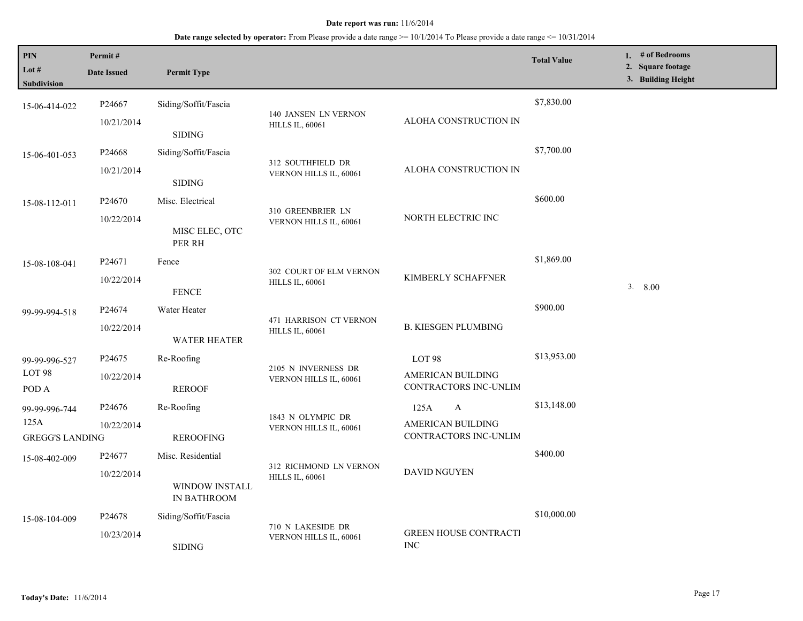| PIN<br>Lot $#$<br>Subdivision                   | Permit#<br><b>Date Issued</b>    | <b>Permit Type</b>                                 |                                                   |                                                             | <b>Total Value</b> | 1. # of Bedrooms<br>2. Square footage<br>3. Building Height |
|-------------------------------------------------|----------------------------------|----------------------------------------------------|---------------------------------------------------|-------------------------------------------------------------|--------------------|-------------------------------------------------------------|
| 15-06-414-022                                   | P24667<br>10/21/2014             | Siding/Soffit/Fascia<br>$\operatorname{SIDING}$    | 140 JANSEN LN VERNON<br><b>HILLS IL, 60061</b>    | ALOHA CONSTRUCTION IN                                       | \$7,830.00         |                                                             |
| 15-06-401-053                                   | P24668<br>10/21/2014             | Siding/Soffit/Fascia<br><b>SIDING</b>              | 312 SOUTHFIELD DR<br>VERNON HILLS IL, 60061       | ALOHA CONSTRUCTION IN                                       | \$7,700.00         |                                                             |
| 15-08-112-011                                   | P24670<br>10/22/2014             | Misc. Electrical<br>MISC ELEC, OTC<br>PER RH       | 310 GREENBRIER LN<br>VERNON HILLS IL, 60061       | NORTH ELECTRIC INC                                          | \$600.00           |                                                             |
| 15-08-108-041                                   | P24671<br>10/22/2014             | Fence<br><b>FENCE</b>                              | 302 COURT OF ELM VERNON<br><b>HILLS IL, 60061</b> | KIMBERLY SCHAFFNER                                          | \$1,869.00         | 3.800                                                       |
| 99-99-994-518                                   | P24674<br>10/22/2014             | Water Heater<br>WATER HEATER                       | 471 HARRISON CT VERNON<br><b>HILLS IL, 60061</b>  | <b>B. KIESGEN PLUMBING</b>                                  | \$900.00           |                                                             |
| 99-99-996-527<br>LOT 98<br>POD A                | P <sub>24675</sub><br>10/22/2014 | Re-Roofing<br><b>REROOF</b>                        | 2105 N INVERNESS DR<br>VERNON HILLS IL, 60061     | LOT 98<br><b>AMERICAN BUILDING</b><br>CONTRACTORS INC-UNLIM | \$13,953.00        |                                                             |
| 99-99-996-744<br>125A<br><b>GREGG'S LANDING</b> | P24676<br>10/22/2014             | Re-Roofing<br><b>REROOFING</b>                     | 1843 N OLYMPIC DR<br>VERNON HILLS IL, 60061       | 125A<br>A<br>AMERICAN BUILDING<br>CONTRACTORS INC-UNLIM     | \$13,148.00        |                                                             |
| 15-08-402-009                                   | P <sub>24677</sub><br>10/22/2014 | Misc. Residential<br>WINDOW INSTALL<br>IN BATHROOM | 312 RICHMOND LN VERNON<br><b>HILLS IL, 60061</b>  | DAVID NGUYEN                                                | \$400.00           |                                                             |
| 15-08-104-009                                   | P <sub>24678</sub><br>10/23/2014 | Siding/Soffit/Fascia<br><b>SIDING</b>              | 710 N LAKESIDE DR<br>VERNON HILLS IL, 60061       | <b>GREEN HOUSE CONTRACTI</b><br><b>INC</b>                  | \$10,000.00        |                                                             |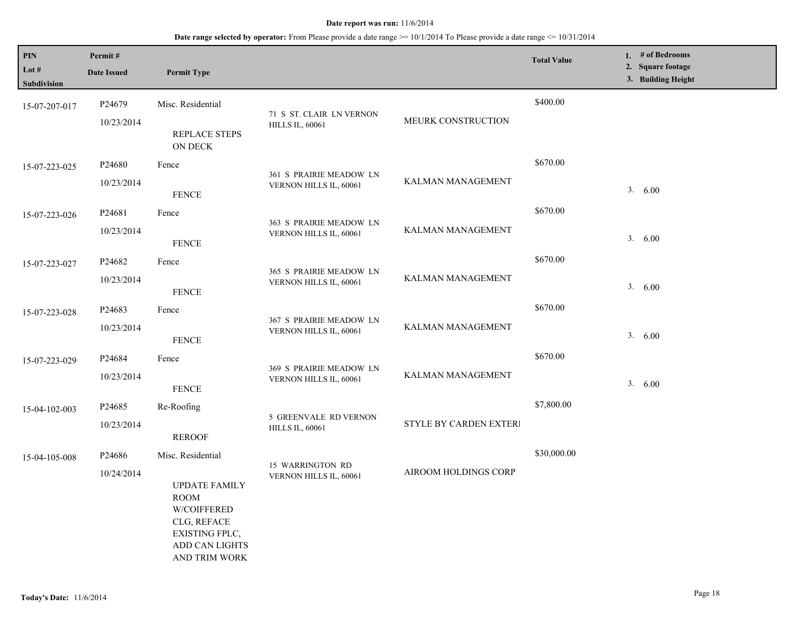| PIN                           | Permit#            |                                                                                                                               |                                                        |                             | <b>Total Value</b> | 1. # of Bedrooms                        |
|-------------------------------|--------------------|-------------------------------------------------------------------------------------------------------------------------------|--------------------------------------------------------|-----------------------------|--------------------|-----------------------------------------|
| Lot $#$<br><b>Subdivision</b> | <b>Date Issued</b> | <b>Permit Type</b>                                                                                                            |                                                        |                             |                    | 2. Square footage<br>3. Building Height |
| 15-07-207-017                 | P24679             | Misc. Residential                                                                                                             |                                                        |                             | \$400.00           |                                         |
|                               | 10/23/2014         | REPLACE STEPS<br><b>ON DECK</b>                                                                                               | 71 S ST. CLAIR LN VERNON<br><b>HILLS IL, 60061</b>     | MEURK CONSTRUCTION          |                    |                                         |
| 15-07-223-025                 | P <sub>24680</sub> | Fence                                                                                                                         |                                                        |                             | \$670.00           |                                         |
|                               | 10/23/2014         | <b>FENCE</b>                                                                                                                  | 361 S PRAIRIE MEADOW LN<br>VERNON HILLS IL, 60061      | KALMAN MANAGEMENT           |                    | 3. 6.00                                 |
| 15-07-223-026                 | P24681             | Fence                                                                                                                         |                                                        |                             | \$670.00           |                                         |
|                               | 10/23/2014         | <b>FENCE</b>                                                                                                                  | 363 S PRAIRIE MEADOW LN<br>VERNON HILLS IL, 60061      | KALMAN MANAGEMENT           |                    | 3. 6.00                                 |
| 15-07-223-027                 | P24682             | Fence                                                                                                                         | 365 S PRAIRIE MEADOW LN<br>VERNON HILLS IL, 60061      | KALMAN MANAGEMENT           | \$670.00           |                                         |
|                               | 10/23/2014         | <b>FENCE</b>                                                                                                                  |                                                        |                             |                    | 3. 6.00                                 |
| 15-07-223-028                 | P24683             | Fence                                                                                                                         | 367 S PRAIRIE MEADOW LN<br>VERNON HILLS IL, 60061      | KALMAN MANAGEMENT           | \$670.00           |                                         |
|                               | 10/23/2014         | <b>FENCE</b>                                                                                                                  |                                                        |                             |                    | 3. 6.00                                 |
| 15-07-223-029                 | P <sub>24684</sub> | Fence                                                                                                                         |                                                        |                             | \$670.00           |                                         |
|                               | 10/23/2014         | <b>FENCE</b>                                                                                                                  | 369 S PRAIRIE MEADOW LN<br>VERNON HILLS IL, 60061      | KALMAN MANAGEMENT           |                    | 3. 6.00                                 |
| 15-04-102-003                 | P <sub>24685</sub> | Re-Roofing                                                                                                                    |                                                        |                             | \$7,800.00         |                                         |
|                               | 10/23/2014         | <b>REROOF</b>                                                                                                                 | <b>5 GREENVALE RD VERNON</b><br><b>HILLS IL, 60061</b> | STYLE BY CARDEN EXTERI      |                    |                                         |
| 15-04-105-008                 | P24686             | Misc. Residential                                                                                                             |                                                        |                             | \$30,000.00        |                                         |
|                               | 10/24/2014         | <b>UPDATE FAMILY</b><br><b>ROOM</b><br>W/COIFFERED<br>CLG, REFACE<br>EXISTING FPLC,<br><b>ADD CAN LIGHTS</b><br>AND TRIM WORK | 15 WARRINGTON RD<br>VERNON HILLS IL, 60061             | <b>AIROOM HOLDINGS CORP</b> |                    |                                         |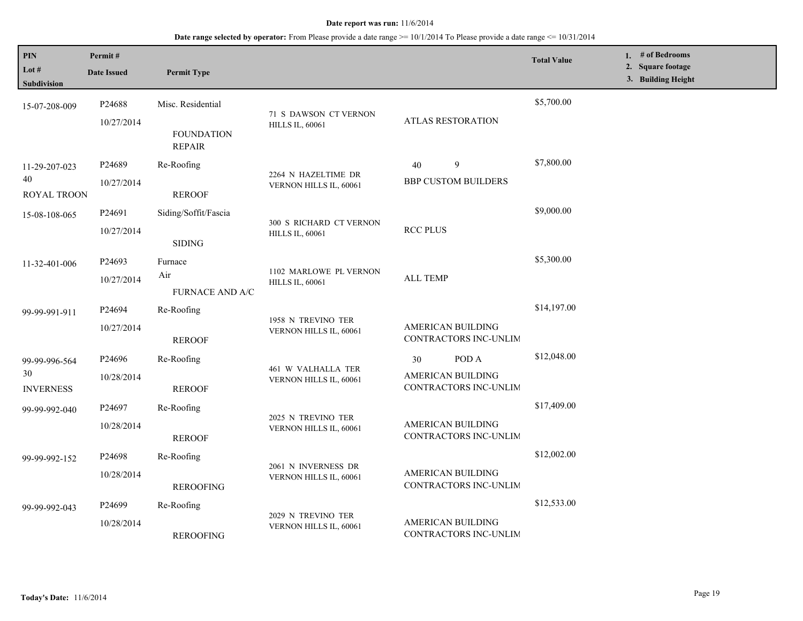| PIN<br>Lot #<br><b>Subdivision</b>      | Permit#<br><b>Date Issued</b> | <b>Permit Type</b>                                      |                                                   |                                                           | <b>Total Value</b> | 1. # of Bedrooms<br>2. Square footage<br>3. Building Height |
|-----------------------------------------|-------------------------------|---------------------------------------------------------|---------------------------------------------------|-----------------------------------------------------------|--------------------|-------------------------------------------------------------|
| 15-07-208-009                           | P24688<br>10/27/2014          | Misc. Residential<br><b>FOUNDATION</b><br><b>REPAIR</b> | 71 S DAWSON CT VERNON<br><b>HILLS IL, 60061</b>   | ATLAS RESTORATION                                         | \$5,700.00         |                                                             |
| 11-29-207-023<br>40<br>ROYAL TROON      | P24689<br>10/27/2014          | Re-Roofing<br><b>REROOF</b>                             | 2264 N HAZELTIME DR<br>VERNON HILLS IL, 60061     | 9<br>40<br><b>BBP CUSTOM BUILDERS</b>                     | \$7,800.00         |                                                             |
| 15-08-108-065                           | P24691<br>10/27/2014          | Siding/Soffit/Fascia<br><b>SIDING</b>                   | 300 S RICHARD CT VERNON<br><b>HILLS IL, 60061</b> | <b>RCC PLUS</b>                                           | \$9,000.00         |                                                             |
| 11-32-401-006                           | P24693<br>10/27/2014          | Furnace<br>Air<br><b>FURNACE AND A/C</b>                | 1102 MARLOWE PL VERNON<br><b>HILLS IL, 60061</b>  | <b>ALL TEMP</b>                                           | \$5,300.00         |                                                             |
| 99-99-991-911                           | P24694<br>10/27/2014          | Re-Roofing<br><b>REROOF</b>                             | 1958 N TREVINO TER<br>VERNON HILLS IL, 60061      | <b>AMERICAN BUILDING</b><br>CONTRACTORS INC-UNLIM         | \$14,197.00        |                                                             |
| 99-99-996-564<br>30<br><b>INVERNESS</b> | P24696<br>10/28/2014          | Re-Roofing<br><b>REROOF</b>                             | 461 W VALHALLA TER<br>VERNON HILLS IL, 60061      | POD A<br>30<br>AMERICAN BUILDING<br>CONTRACTORS INC-UNLIM | \$12,048.00        |                                                             |
| 99-99-992-040                           | P24697<br>10/28/2014          | Re-Roofing<br><b>REROOF</b>                             | 2025 N TREVINO TER<br>VERNON HILLS IL, 60061      | AMERICAN BUILDING<br>CONTRACTORS INC-UNLIM                | \$17,409.00        |                                                             |
| 99-99-992-152                           | P24698<br>10/28/2014          | Re-Roofing<br><b>REROOFING</b>                          | 2061 N INVERNESS DR<br>VERNON HILLS IL, 60061     | <b>AMERICAN BUILDING</b><br>CONTRACTORS INC-UNLIM         | \$12,002.00        |                                                             |
| 99-99-992-043                           | P24699<br>10/28/2014          | Re-Roofing<br><b>REROOFING</b>                          | 2029 N TREVINO TER<br>VERNON HILLS IL, 60061      | AMERICAN BUILDING<br>CONTRACTORS INC-UNLIM                | \$12,533.00        |                                                             |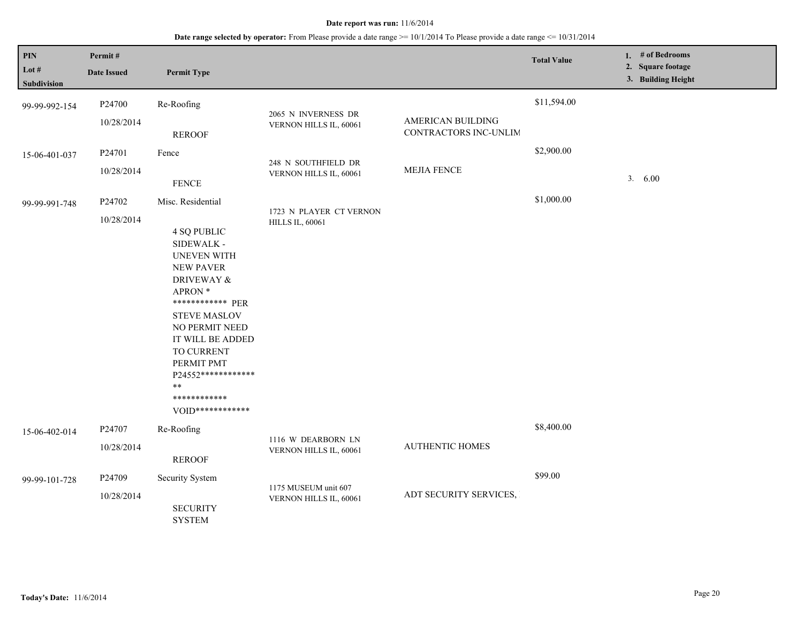| PIN<br>Lot #<br><b>Subdivision</b> | Permit#<br><b>Date Issued</b> | <b>Permit Type</b>                                                                                                                                                                                                                                                                                                         |                                                   |                                            | <b>Total Value</b> | 1. # of Bedrooms<br>2. Square footage<br>3. Building Height |
|------------------------------------|-------------------------------|----------------------------------------------------------------------------------------------------------------------------------------------------------------------------------------------------------------------------------------------------------------------------------------------------------------------------|---------------------------------------------------|--------------------------------------------|--------------------|-------------------------------------------------------------|
| 99-99-992-154                      | P24700<br>10/28/2014          | Re-Roofing<br><b>REROOF</b>                                                                                                                                                                                                                                                                                                | 2065 N INVERNESS DR<br>VERNON HILLS IL, 60061     | AMERICAN BUILDING<br>CONTRACTORS INC-UNLIM | \$11,594.00        |                                                             |
| 15-06-401-037                      | P24701<br>10/28/2014          | Fence<br><b>FENCE</b>                                                                                                                                                                                                                                                                                                      | 248 N SOUTHFIELD DR<br>VERNON HILLS IL, 60061     | <b>MEJIA FENCE</b>                         | \$2,900.00         | 3.600                                                       |
| 99-99-991-748                      | P24702<br>10/28/2014          | Misc. Residential<br><b>4 SQ PUBLIC</b><br>SIDEWALK -<br><b>UNEVEN WITH</b><br><b>NEW PAVER</b><br><b>DRIVEWAY &amp;</b><br>APRON *<br>************* PER<br><b>STEVE MASLOV</b><br>NO PERMIT NEED<br>IT WILL BE ADDED<br>TO CURRENT<br>PERMIT PMT<br>P24552*************<br>$**$<br>************<br>$V()$ [])************* | 1723 N PLAYER CT VERNON<br><b>HILLS IL, 60061</b> |                                            | \$1,000.00         |                                                             |
| 15-06-402-014                      | P24707<br>10/28/2014          | Re-Roofing<br><b>REROOF</b>                                                                                                                                                                                                                                                                                                | 1116 W DEARBORN LN<br>VERNON HILLS IL, 60061      | <b>AUTHENTIC HOMES</b>                     | \$8,400.00         |                                                             |
| 99-99-101-728                      | P24709<br>10/28/2014          | Security System<br><b>SECURITY</b><br><b>SYSTEM</b>                                                                                                                                                                                                                                                                        | 1175 MUSEUM unit 607<br>VERNON HILLS IL, 60061    | ADT SECURITY SERVICES,                     | \$99.00            |                                                             |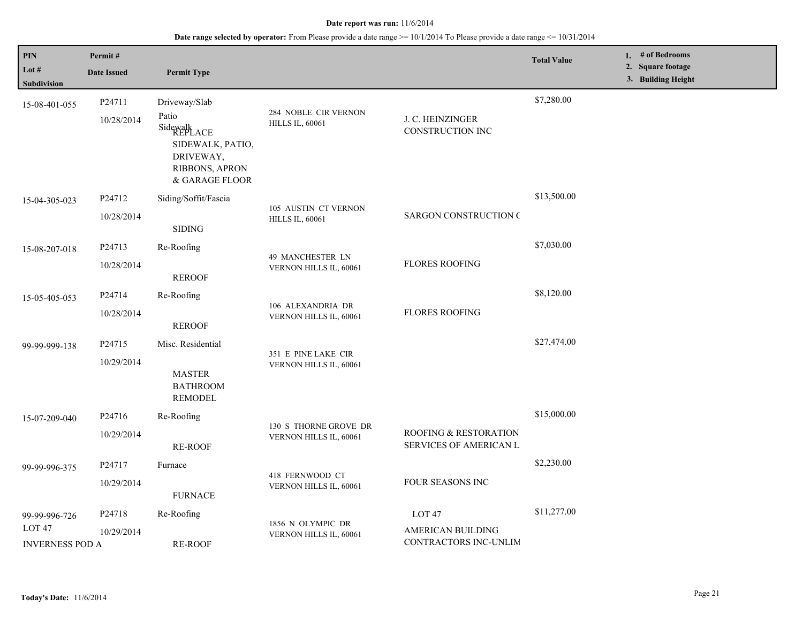| PIN                              | Permit#            |                                                                                                   |                                                 |                                                                   | <b>Total Value</b> | 1. # of Bedrooms                        |
|----------------------------------|--------------------|---------------------------------------------------------------------------------------------------|-------------------------------------------------|-------------------------------------------------------------------|--------------------|-----------------------------------------|
| Lot #<br><b>Subdivision</b>      | <b>Date Issued</b> | <b>Permit Type</b>                                                                                |                                                 |                                                                   |                    | 2. Square footage<br>3. Building Height |
| 15-08-401-055                    | P24711             | Driveway/Slab                                                                                     |                                                 |                                                                   | \$7,280.00         |                                         |
|                                  | 10/28/2014         | Patio<br>Sidewalk<br>REPLACE<br>SIDEWALK, PATIO,<br>DRIVEWAY,<br>RIBBONS, APRON<br>& GARAGE FLOOR | 284 NOBLE CIR VERNON<br><b>HILLS IL, 60061</b>  | J. C. HEINZINGER<br>CONSTRUCTION INC                              |                    |                                         |
| 15-04-305-023                    | P24712             | Siding/Soffit/Fascia                                                                              |                                                 |                                                                   | \$13,500.00        |                                         |
|                                  | 10/28/2014         | <b>SIDING</b>                                                                                     | 105 AUSTIN CT VERNON<br><b>HILLS IL, 60061</b>  | <b>SARGON CONSTRUCTION C</b>                                      |                    |                                         |
| 15-08-207-018                    | P24713             | Re-Roofing                                                                                        |                                                 |                                                                   | \$7,030.00         |                                         |
|                                  | 10/28/2014         | <b>REROOF</b>                                                                                     | 49 MANCHESTER LN<br>VERNON HILLS IL, 60061      | <b>FLORES ROOFING</b>                                             |                    |                                         |
| 15-05-405-053                    | P24714             | Re-Roofing                                                                                        |                                                 |                                                                   | \$8,120.00         |                                         |
|                                  | 10/28/2014         | <b>REROOF</b>                                                                                     | 106 ALEXANDRIA DR<br>VERNON HILLS IL, 60061     | <b>FLORES ROOFING</b>                                             |                    |                                         |
| 99-99-999-138                    | P24715             | Misc. Residential                                                                                 | 351 E PINE LAKE CIR                             |                                                                   | \$27,474.00        |                                         |
|                                  | 10/29/2014         | <b>MASTER</b><br><b>BATHROOM</b><br><b>REMODEL</b>                                                | VERNON HILLS IL, 60061                          |                                                                   |                    |                                         |
| 15-07-209-040                    | P24716             | Re-Roofing                                                                                        |                                                 |                                                                   | \$15,000.00        |                                         |
|                                  | 10/29/2014         | <b>RE-ROOF</b>                                                                                    | 130 S THORNE GROVE DR<br>VERNON HILLS IL, 60061 | <b>ROOFING &amp; RESTORATION</b><br><b>SERVICES OF AMERICAN L</b> |                    |                                         |
| 99-99-996-375                    | P24717             | Furnace                                                                                           |                                                 |                                                                   | \$2,230.00         |                                         |
|                                  | 10/29/2014         | <b>FURNACE</b>                                                                                    | 418 FERNWOOD CT<br>VERNON HILLS IL, 60061       | FOUR SEASONS INC                                                  |                    |                                         |
| 99-99-996-726                    | P24718             | Re-Roofing                                                                                        |                                                 | LOT <sub>47</sub>                                                 | \$11,277.00        |                                         |
| LOT 47<br><b>INVERNESS POD A</b> | 10/29/2014         | <b>RE-ROOF</b>                                                                                    | 1856 N OLYMPIC DR<br>VERNON HILLS IL, 60061     | AMERICAN BUILDING<br>CONTRACTORS INC-UNLIM                        |                    |                                         |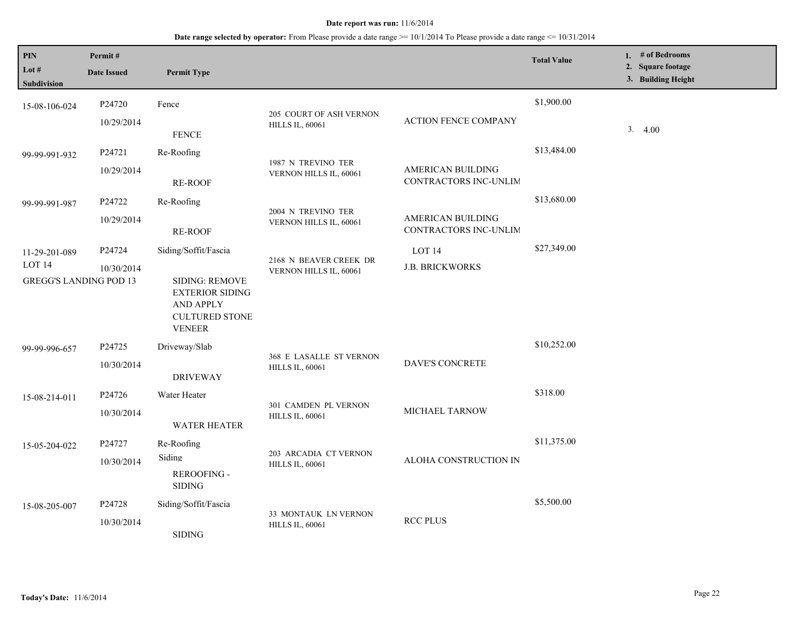| <b>PIN</b><br>Lot #<br>Subdivision                                  | Permit#<br><b>Date Issued</b> | <b>Permit Type</b>                                                                                                                    |                                                   |                                             | <b>Total Value</b> | 1. # of Bedrooms<br>2. Square footage<br>3. Building Height |
|---------------------------------------------------------------------|-------------------------------|---------------------------------------------------------------------------------------------------------------------------------------|---------------------------------------------------|---------------------------------------------|--------------------|-------------------------------------------------------------|
| 15-08-106-024                                                       | P24720<br>10/29/2014          | Fence<br><b>FENCE</b>                                                                                                                 | 205 COURT OF ASH VERNON<br><b>HILLS IL, 60061</b> | <b>ACTION FENCE COMPANY</b>                 | \$1,900.00         | 3 <sub>1</sub><br>4.00                                      |
| 99-99-991-932                                                       | P24721<br>10/29/2014          | Re-Roofing<br>RE-ROOF                                                                                                                 | 1987 N TREVINO TER<br>VERNON HILLS IL, 60061      | AMERICAN BUILDING<br>CONTRACTORS INC-UNLIM  | \$13,484.00        |                                                             |
| 99-99-991-987                                                       | P24722<br>10/29/2014          | Re-Roofing<br><b>RE-ROOF</b>                                                                                                          | 2004 N TREVINO TER<br>VERNON HILLS IL, 60061      | AMERICAN BUILDING<br>CONTRACTORS INC-UNLIM  | \$13,680.00        |                                                             |
| 11-29-201-089<br>LOT <sub>14</sub><br><b>GREGG'S LANDING POD 13</b> | P24724<br>10/30/2014          | Siding/Soffit/Fascia<br><b>SIDING: REMOVE</b><br><b>EXTERIOR SIDING</b><br><b>AND APPLY</b><br><b>CULTURED STONE</b><br><b>VENEER</b> | 2168 N BEAVER CREEK DR<br>VERNON HILLS IL, 60061  | LOT <sub>14</sub><br><b>J.B. BRICKWORKS</b> | \$27,349.00        |                                                             |
| 99-99-996-657                                                       | P24725<br>10/30/2014          | Driveway/Slab<br><b>DRIVEWAY</b>                                                                                                      | 368 E LASALLE ST VERNON<br><b>HILLS IL, 60061</b> | DAVE'S CONCRETE                             | \$10,252.00        |                                                             |
| 15-08-214-011                                                       | P24726<br>10/30/2014          | Water Heater<br><b>WATER HEATER</b>                                                                                                   | 301 CAMDEN PL VERNON<br><b>HILLS IL, 60061</b>    | MICHAEL TARNOW                              | \$318.00           |                                                             |
| 15-05-204-022                                                       | P24727<br>10/30/2014          | Re-Roofing<br>Siding<br><b>REROOFING -</b><br><b>SIDING</b>                                                                           | 203 ARCADIA CT VERNON<br><b>HILLS IL, 60061</b>   | ALOHA CONSTRUCTION IN                       | \$11,375.00        |                                                             |
| 15-08-205-007                                                       | P24728<br>10/30/2014          | Siding/Soffit/Fascia<br><b>SIDING</b>                                                                                                 | 33 MONTAUK LN VERNON<br><b>HILLS IL, 60061</b>    | <b>RCC PLUS</b>                             | \$5,500.00         |                                                             |